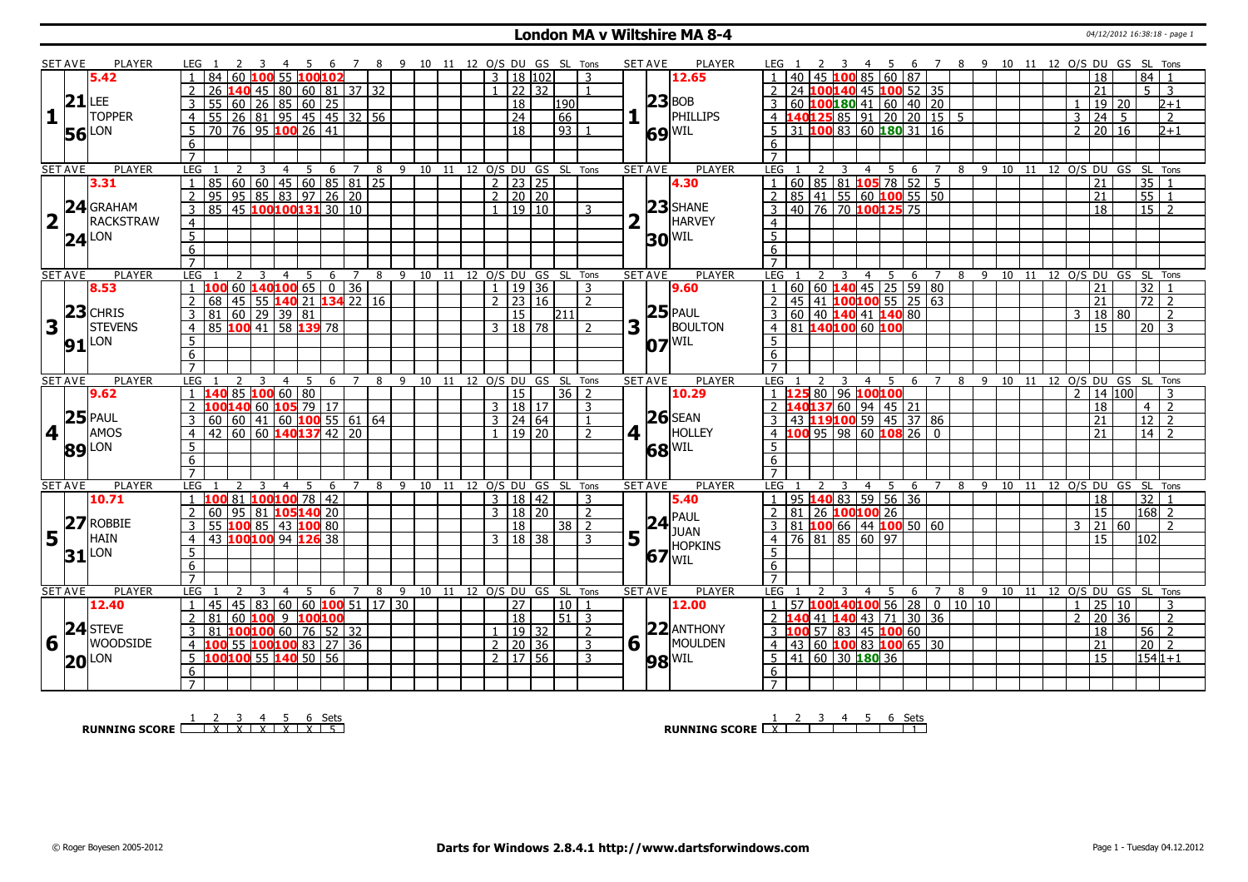#### **London MA v Wiltshire MA 8-4 Discrete All 2012 16:38:18** - page 1

|                         | SET AVE        | <b>PLAYER</b>       | LEG 1                                                                 | 45<br>- 6                                 | 78             | - 9       |    | 10 11 12 O/S DU GS SL Tons   |                 |                 |                | <b>SET AVE</b><br><b>PLAYER</b> | 6 7 8 9 10 11 12 O/S DU GS SL Tons<br>LEG :                                        |
|-------------------------|----------------|---------------------|-----------------------------------------------------------------------|-------------------------------------------|----------------|-----------|----|------------------------------|-----------------|-----------------|----------------|---------------------------------|------------------------------------------------------------------------------------|
|                         |                | 5.42                | 84 60 100 55 100 102                                                  |                                           |                |           |    | $3 \mid 18 \mid 102$         |                 |                 | 3              | 12.65                           | 85 60 87<br>84<br>45 100<br>18                                                     |
|                         |                |                     | 26                                                                    | <b>L40</b> 45   80   60   81   37   32    |                |           |    |                              | 22 32           |                 |                |                                 | 24 100140 45 100 52 35<br>21<br>5<br>-3                                            |
|                         | $21$ LEE       |                     |                                                                       |                                           |                |           |    | 18                           |                 | 190             |                | $ 23 $ BOB                      | $\mid$ 60 <b>100 180</b> 41 60 40 20<br>19 20<br>$_{2+1}$                          |
| 1                       | $\mathbf{I}$   | <b>TOPPER</b>       | 55 60 26 85 60 25<br>55 26 81 95 45 45 32 56<br>$\overline{4}$        |                                           |                |           |    | $\overline{24}$              |                 | 66              |                | PHILLIPS                        | $4$ 140125 85 91 20 20 15 5<br>$24 \overline{5}$<br>3<br>$\overline{2}$            |
|                         |                |                     | 70 76 95 100 26 41<br>5                                               |                                           |                |           |    | $\overline{18}$              |                 | 93              |                |                                 | $\overline{5}$ 31 100 83 60 180 31 16<br>20 16<br>$\sqrt{2+1}$<br>$\overline{2}$   |
|                         |                | <b>56</b> LON       | 6                                                                     |                                           |                |           |    |                              |                 |                 |                | $69$ <sup>WIL</sup>             | 6                                                                                  |
|                         |                |                     | $\overline{7}$                                                        |                                           |                |           |    |                              |                 |                 |                |                                 | $\overline{7}$                                                                     |
|                         | <b>SET AVE</b> | <b>PLAYER</b>       | LEG<br>2                                                              |                                           |                |           |    | 9 10 11 12 O/S DU GS SL Tons |                 |                 |                | <b>PLAYER</b><br><b>SET AVE</b> | <b>LEG</b><br>8 9 10 11 12 O/S DU GS SL Tons<br>2<br>3<br>$\overline{7}$           |
|                         |                | 3.31                | 3<br>$\mathbf{1}$<br>85                                               | $\overline{4}$<br>$5\overline{)}$         | 6 7 8          |           |    | $\frac{1}{2}$   23   25      |                 |                 |                |                                 | 4 5 6<br>1   60   85   81   105   78   52   5<br>35 1<br>$\overline{21}$           |
|                         |                |                     |                                                                       | 60 60 45 60 85 81 25<br>95 85 83 97 26 20 |                |           |    | $2 \ 20 \ 20$                |                 |                 |                | 4.30                            | 85 41 55 60 100 55 50<br>$\overline{55}$<br>$\overline{2}$                         |
|                         |                | 24 GRAHAM           | $\overline{2}$<br>95                                                  |                                           |                |           |    |                              |                 |                 |                | $23$ SHANE                      | 21<br>$\overline{1}$                                                               |
|                         |                |                     | 85 45 100100131 30 10<br>$\overline{3}$                               |                                           |                |           |    | 1   19   10                  |                 |                 | $\mathcal{R}$  |                                 | 140 76 70 100 125 75<br>$15\overline{\smash{)}2}$<br>$\overline{18}$<br>3          |
| $\overline{\mathbf{2}}$ | $\mathbf{I}$   | RACKSTRAW           | $\overline{4}$                                                        |                                           |                |           |    |                              |                 |                 |                | HARVEY                          | $\overline{4}$                                                                     |
|                         |                | $24^{\text{LON}}$   | $\overline{5}$                                                        |                                           |                |           |    |                              |                 |                 |                | $30$ <sup>WIL</sup>             | $\overline{5}$                                                                     |
|                         |                |                     | 6                                                                     |                                           |                |           |    |                              |                 |                 |                |                                 | $6\overline{6}$                                                                    |
|                         |                |                     | $\overline{7}$                                                        |                                           |                |           |    |                              |                 |                 |                |                                 | $\overline{7}$                                                                     |
|                         | <b>SET AVE</b> | <b>PLAYER</b>       | LEG                                                                   | 5<br>6<br>$\overline{4}$                  | $7^{\circ}$    | 8<br>9 10 | 11 | 12 O/S DU GS SL Tons         |                 |                 |                | <b>SET AVE</b><br><b>PLAYER</b> | 12 O/S DU GS SL Tons<br>LEG<br>5<br>$\overline{7}$<br>8<br>9 10<br>11<br>4<br>6    |
|                         |                | 8.53                | 60 140100 65                                                          |                                           | $\boxed{0}$ 36 |           |    | $\mathbf{1}$                 | 19 36           |                 | 3              | 9.60                            | 60   60   <mark>140</mark>   45   25   59   80<br>32<br>$\overline{1}$<br>21       |
|                         |                |                     | $\overline{2}$<br>68                                                  | 45 55 140 21 134 22 16                    |                |           |    | $2 \mid 23 \mid 16$          |                 |                 | $\overline{z}$ |                                 | 45   41 <mark>100 100</mark> 55   25   63<br>$\overline{72}$ 2<br>2<br>21          |
|                         |                | $23$ CHRIS          | $\frac{160}{29}$ 39 81<br>3<br>81                                     |                                           |                |           |    |                              | 15              | 211             |                | $25$ PAUL                       | 3 60 40 140 41 140 80<br>18 80<br>$\overline{2}$<br>3                              |
| 3                       |                | <b>STEVENS</b>      | 85 100 41 58 139 78<br>$\overline{4}$                                 |                                           |                |           |    | $3 \mid 18 \mid 78$          |                 |                 | $\mathcal{L}$  | 3<br><b>BOULTON</b>             | 4 81 140100 60 100<br>$20 \mid 3$<br>15                                            |
|                         |                | $91$ LON            | 5                                                                     |                                           |                |           |    |                              |                 |                 |                | $07$ <sup>WIL</sup>             | 5                                                                                  |
|                         |                |                     | 6                                                                     |                                           |                |           |    |                              |                 |                 |                |                                 | 6                                                                                  |
|                         |                |                     | $\overline{7}$                                                        |                                           |                |           |    |                              |                 |                 |                |                                 | $\overline{7}$                                                                     |
|                         | <b>SET AVE</b> | <b>PLAYER</b>       | LEG                                                                   | 4<br>5<br>-6                              | $\overline{7}$ | 8         |    | 9 10 11 12 O/S DU GS SL Tons |                 |                 |                | <b>SET AVE</b><br><b>PLAYER</b> | LEG<br>10 11 12 O/S DU GS SL Tons<br>4<br>5<br>6<br>$\overline{7}$<br>8<br>-9      |
|                         |                |                     |                                                                       |                                           |                |           |    |                              |                 |                 |                |                                 |                                                                                    |
|                         |                | 9.62                |                                                                       |                                           |                |           |    |                              | 15              | 36 <sub>1</sub> | $\overline{z}$ | 10.29                           | $\mathcal{L}$<br>14 100                                                            |
|                         |                |                     | L40 85 100 60 80                                                      |                                           |                |           |    | 3   18   17                  |                 |                 | 3              |                                 | 25 80 96 100100<br>$\overline{z}$<br>18<br>$\overline{4}$                          |
|                         |                | $25$ PAUL           | $\frac{100140}{60}$ 105 79 17                                         |                                           |                |           |    |                              |                 |                 | $\mathbf{1}$   | $26$ SEAN                       | 2 <b>140137</b> 60 94 45 21<br>21<br>$\overline{2}$                                |
|                         |                |                     | 3<br>60                                                               |                                           |                |           |    | $3 \mid 24 \mid 64$          |                 |                 | $\overline{2}$ |                                 | 3 43 119100 59 45 37 86<br>$\overline{12}$<br>21                                   |
|                         | 4              | AMOS                | 42 60 60 140137 42 20<br>$\overline{4}$                               |                                           |                |           |    | $1 \mid 19 \mid 20$          |                 |                 |                | $4$   <br>HOLLEY                | $4$ 100 95 98 60 108 26 0<br>$14$ 2                                                |
|                         |                | 89 LON              | 5                                                                     |                                           |                |           |    |                              |                 |                 |                | $68$ <sup>WIL</sup>             | 5 <sup>5</sup>                                                                     |
|                         |                |                     | 6                                                                     |                                           |                |           |    |                              |                 |                 |                |                                 | 6                                                                                  |
|                         |                |                     | $\overline{7}$<br>3                                                   | $\overline{4}$                            | $\overline{7}$ | 8         |    |                              |                 |                 |                |                                 | $\overline{7}$<br>$\overline{4}$<br>89<br>$\overline{7}$<br>10                     |
|                         | <b>SET AVE</b> | PLAYER              | LEG                                                                   | -5<br>- 6                                 |                |           |    | 9 10 11 12 O/S DU GS SL Tons |                 |                 |                | <b>PLAYER</b><br><b>SET AVE</b> | LEG<br>11 12 O/S DU GS SL Tons<br>$-5$<br>- 6                                      |
|                         |                | 10.71               | $1 \mid 100 \mid 81 \mid 100 \mid 100 \mid 78 \mid 42$                |                                           |                |           |    | 3   18   42                  |                 |                 | 3              | 5.40                            | 1   95   140   83   59   56   36<br>32 1<br>18                                     |
|                         |                |                     | 60 95 81 <b>105 140</b> 20<br>$\mathcal{P}$                           |                                           |                |           |    | 3   18   20                  |                 |                 | $\overline{2}$ |                                 | $168$ 2<br>2 81 26 100100 26<br>$\overline{15}$                                    |
|                         |                | $27$ ROBBIE         | 3<br>55                                                               | 100 85 43 100 80                          |                |           |    |                              | $\overline{18}$ | 38 <sup>1</sup> | $\overline{2}$ | $24$ <sup>PAUL</sup><br>JUAN    | $3$ 81 <b>100</b> 66 44 <b>100</b> 50 60<br>21 60<br>$\overline{\phantom{a}}$<br>3 |
| 5                       | l T            | <b>HAIN</b>         | 43 100100 94 126<br>$\overline{4}$                                    | 38                                        |                |           |    | $\mathbf{3}$                 | 18   38         |                 | 3              | 5<br><b>HOPKINS</b>             | $76$ 81 85 60 97<br>15<br>102<br>$\overline{4}$                                    |
|                         |                | $31$ <sup>LON</sup> | $\overline{5}$                                                        |                                           |                |           |    |                              |                 |                 |                |                                 | 5                                                                                  |
|                         |                |                     | 6                                                                     |                                           |                |           |    |                              |                 |                 |                | $67$ $\text{WIL}$               | 6                                                                                  |
|                         |                |                     | $\overline{7}$                                                        |                                           |                |           |    |                              |                 |                 |                |                                 | $\overline{7}$                                                                     |
|                         | <b>SET AVE</b> | PLAYER              | LEG                                                                   | $\overline{4}$<br>5<br>6                  | 7              | 8         |    | 9 10 11 12 0/S DU GS SL Tons |                 |                 |                | <b>PLAYER</b><br><b>SET AVE</b> | LEG<br>9 10<br>11 12 O/S DU GS SL Tons<br>$\overline{7}$<br>8<br>4<br>5<br>6       |
|                         |                | 12.40               | $145$   45   83   60   60   <b>100</b>   51   17   30<br>$\mathbf{1}$ |                                           |                |           |    | $\overline{27}$              |                 | l 10 l          | $\overline{1}$ | 12.00                           | 57 100 140 100 56 28 0 10 10<br>25 10<br>$\overline{1}$<br>$\overline{1}$<br>3     |
|                         |                |                     | 60 100<br>81<br>$\overline{2}$                                        | 9100100                                   |                |           |    | 18                           |                 | 51 3            |                |                                 | 2 140 41 140 43 71 30 36<br>$\overline{20}$<br>36<br>2<br>$\overline{2}$           |
|                         |                | $24$ STEVE          | 81 100100 60 76 52 32<br>$\overline{3}$                               |                                           |                |           |    | 1   19   32                  |                 |                 | $\overline{2}$ | $22$ ANTHONY                    | 3 $100$ 57 83 45 100 60<br>18<br>$56$   2                                          |
| 6                       |                | <b>WOODSIDE</b>     | $\overline{4}$                                                        | 55 100100 83 27 36                        |                |           |    | $2 \ 20 \ 36$                |                 |                 | $\overline{3}$ | $6\sqrt{ }$<br>MOULDEN          | 4 43 60 100 83 100 65 30<br>$\overline{20}$<br>21<br>$\sqrt{2}$                    |
|                         |                |                     | 100100 55 140 50 56<br>5                                              |                                           |                |           |    | 2   17   56                  |                 |                 | $\overline{3}$ |                                 | $5 \mid 41 \mid 60 \mid 30 \mid 180 \mid 36$<br>$1541+1$<br>$\overline{15}$        |
|                         |                | $20$ <sup>LON</sup> | 6<br>$\overline{7}$                                                   |                                           |                |           |    |                              |                 |                 |                | $98$ <sup>WIL</sup>             | 6<br>$\overline{7}$                                                                |

**RUNNING SCORE**  $\begin{array}{|c|c|c|c|c|}\n\hline\n & 2 & 3 & 4 & 5 & 6 & \text{Sets} \\
\hline\n\end{array}$ 

**RUNNING SCORE** 2 3 4 5 6 Sets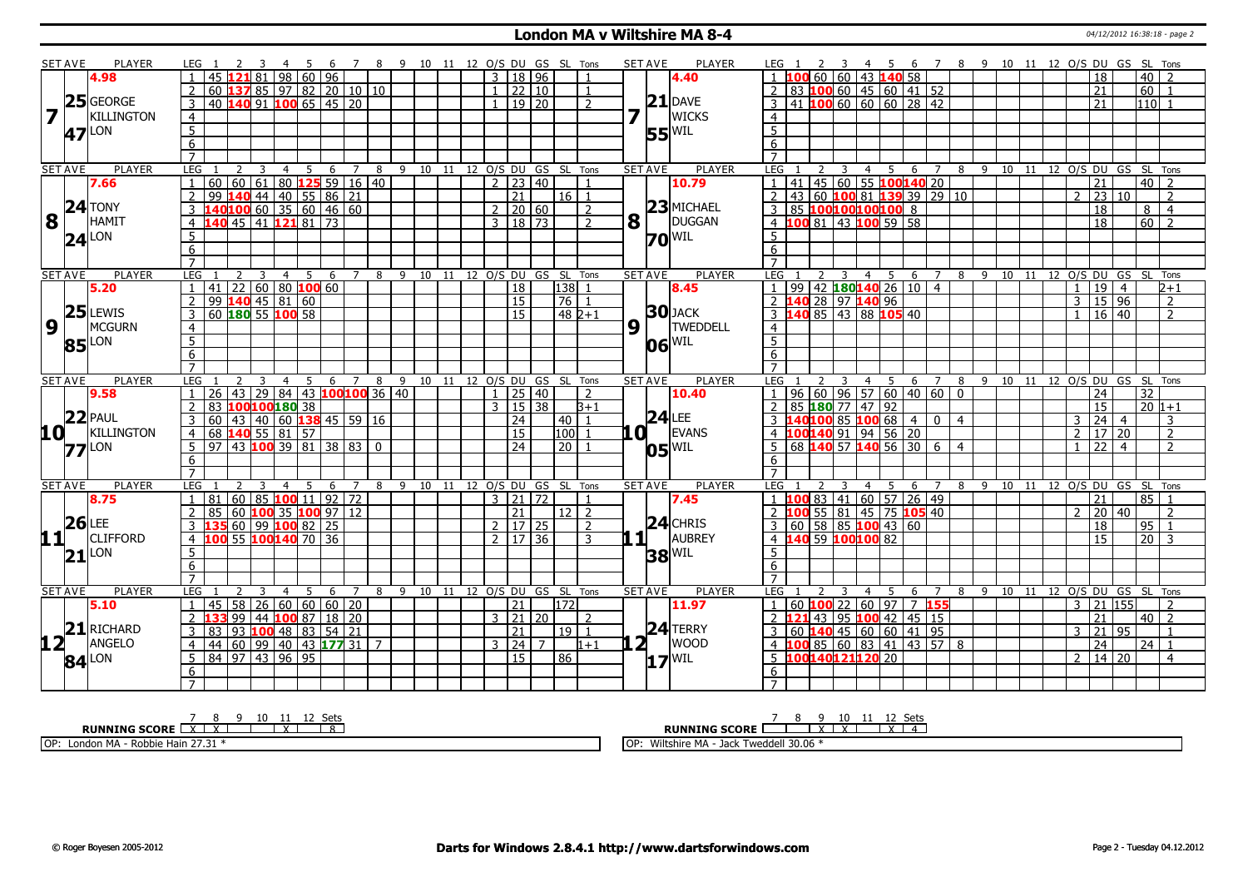### **London MA v Wiltshire MA 8-4 Discrete All 2012 16:38:18 - page 2**

|                         | <b>SET AVE</b>      | PLAYER            | LEG 1                             |                                           |                                       | -4             | 5 6 7 8 9 10 11 12 O/S DU GS SL Tons |     |                        |   |  |  |                |                       |                     |                                |                |     | <b>SET AVE</b>        | <b>PLAYER</b>         | LEG 1                             |                                                                        |     |                |     |                           |                        |   |           |  |                |                  |                     |                 | 2 3 4 5 6 7 8 9 10 11 12 O/S DU GS SL Tons |  |
|-------------------------|---------------------|-------------------|-----------------------------------|-------------------------------------------|---------------------------------------|----------------|--------------------------------------|-----|------------------------|---|--|--|----------------|-----------------------|---------------------|--------------------------------|----------------|-----|-----------------------|-----------------------|-----------------------------------|------------------------------------------------------------------------|-----|----------------|-----|---------------------------|------------------------|---|-----------|--|----------------|------------------|---------------------|-----------------|--------------------------------------------|--|
|                         |                     | 4.98              |                                   | 45                                        | 121 81 I                              |                | 98 60 96                             |     |                        |   |  |  | $\overline{3}$ |                       | 18   96             |                                |                |     |                       | 4.40                  |                                   | 100 60 60 43 140 58                                                    |     |                |     |                           |                        |   |           |  |                | 18               |                     | 40 l            |                                            |  |
|                         |                     |                   |                                   | 60 <b>137</b> 85   97   82   20   10   10 |                                       |                |                                      |     |                        |   |  |  | $\mathbf{1}$   |                       | 22 10               |                                | $\mathbf{1}$   |     |                       |                       |                                   | $2$ 83 100 60 45 60 41 52                                              |     |                |     |                           |                        |   |           |  |                | $\overline{21}$  |                     |                 | $60$   1                                   |  |
|                         |                     | $25$ GEORGE       | 3                                 | 40 140 91 100 65 45 20                    |                                       |                |                                      |     |                        |   |  |  | $\mathbf{1}$   |                       | 19 20               |                                | $\mathcal{P}$  |     |                       | $21$ DAVE             |                                   | 3   41   100   60   60   60   28   42                                  |     |                |     |                           |                        |   |           |  |                | 21               |                     |                 | $110$ 1                                    |  |
| $\overline{\mathbf{z}}$ |                     | <b>KILLINGTON</b> | $\overline{4}$                    |                                           |                                       |                |                                      |     |                        |   |  |  |                |                       |                     |                                |                | 7   | $\mathbf{L}$          | <b>WICKS</b>          | $\overline{4}$                    |                                                                        |     |                |     |                           |                        |   |           |  |                |                  |                     |                 |                                            |  |
|                         |                     |                   |                                   |                                           |                                       |                |                                      |     |                        |   |  |  |                |                       |                     |                                |                |     |                       |                       | 5 <sup>1</sup>                    |                                                                        |     |                |     |                           |                        |   |           |  |                |                  |                     |                 |                                            |  |
|                         |                     | 47 <sup>LON</sup> | $\overline{5}$                    |                                           |                                       |                |                                      |     |                        |   |  |  |                |                       |                     |                                |                |     |                       | $55^{\text{WIL}}$     |                                   |                                                                        |     |                |     |                           |                        |   |           |  |                |                  |                     |                 |                                            |  |
|                         |                     |                   | 6                                 |                                           |                                       |                |                                      |     |                        |   |  |  |                |                       |                     |                                |                |     |                       |                       | 6                                 |                                                                        |     |                |     |                           |                        |   |           |  |                |                  |                     |                 |                                            |  |
|                         |                     |                   | $\overline{7}$                    |                                           |                                       |                |                                      |     |                        |   |  |  |                |                       |                     |                                |                |     |                       |                       | $\overline{7}$                    |                                                                        |     |                |     |                           |                        |   |           |  |                |                  |                     |                 |                                            |  |
|                         | <b>SET AVE</b>      | <b>PLAYER</b>     | LEG                               |                                           |                                       |                | -5                                   | - 6 | <sup>7</sup>           | 8 |  |  |                |                       |                     | 9 10 11 12 O/S DU GS SL Tons   |                |     | <b>SET AVE</b>        | <b>PLAYER</b>         | LEG                               |                                                                        | - 3 | $\overline{4}$ | 5   | 6                         | $\overline{7}$         |   |           |  |                |                  |                     |                 | 8 9 10 11 12 O/S DU GS SL Tons             |  |
|                         |                     | 7.66              |                                   | 60                                        | 60   61   80 <b> 125</b> 59   16   40 |                |                                      |     |                        |   |  |  |                |                       | $2 \mid 23 \mid 40$ |                                | $\mathbf{1}$   |     |                       | 10.79                 |                                   | 41                                                                     |     |                |     | 145 60 55 100140 20       |                        |   |           |  |                | 21               |                     |                 | $40\overline{2}$                           |  |
|                         |                     |                   | $\overline{2}$                    | 99                                        | 140 44 40 55 86 21                    |                |                                      |     |                        |   |  |  |                | $\overline{21}$       |                     | 16 1                           |                |     |                       |                       |                                   | 2 43 60 100 81 139 39 29 10                                            |     |                |     |                           |                        |   |           |  | $2^{\circ}$    | 23               | 10                  |                 | $\overline{z}$                             |  |
|                         |                     | $24$ TONY         | 3                                 | 1401006035604660                          |                                       |                |                                      |     |                        |   |  |  | $\overline{2}$ |                       | 20 60               |                                | $\overline{2}$ |     |                       | $23$ MICHAEL          |                                   | 3 85 100100100100 8                                                    |     |                |     |                           |                        |   |           |  |                | 18               |                     |                 | 8 I<br>$\overline{4}$                      |  |
| 8                       | $\mathbf{L}$        | HAMIT             |                                   | <b>40 45 41 121 81 73</b>                 |                                       |                |                                      |     |                        |   |  |  | $\overline{3}$ |                       | $18 \overline{)73}$ |                                | 2              |     | $8\vert$ <sup>T</sup> | DUGGAN                |                                   | 4 100 81 43 100 59 58                                                  |     |                |     |                           |                        |   |           |  |                | $\overline{18}$  |                     | $\overline{60}$ | $\overline{z}$                             |  |
|                         | $24$ <sup>LON</sup> |                   | $\overline{5}$                    |                                           |                                       |                |                                      |     |                        |   |  |  |                |                       |                     |                                |                |     |                       | $70^{\text{WIL}}$     | 5                                 |                                                                        |     |                |     |                           |                        |   |           |  |                |                  |                     |                 |                                            |  |
|                         |                     |                   | 6                                 |                                           |                                       |                |                                      |     |                        |   |  |  |                |                       |                     |                                |                |     |                       |                       | 6                                 |                                                                        |     |                |     |                           |                        |   |           |  |                |                  |                     |                 |                                            |  |
|                         |                     |                   | $\overline{7}$                    |                                           |                                       |                |                                      |     |                        |   |  |  |                |                       |                     |                                |                |     |                       |                       | $\overline{7}$                    |                                                                        |     |                |     |                           |                        |   |           |  |                |                  |                     |                 |                                            |  |
|                         | <b>SET AVE</b>      | PLAYER            | LEG                               |                                           | 3                                     | $\overline{4}$ | 5<br>6                               |     | $\overline{7}$         | 8 |  |  |                |                       |                     | 9 10 11 12 O/S DU GS SL Tons   |                |     | <b>SET AVE</b>        | <b>PLAYER</b>         | LEG                               |                                                                        | 3   |                |     | 4 5 6 7                   |                        |   | 8 9 10 11 |  |                |                  |                     |                 | 12 O/S DU GS SL Tons                       |  |
|                         |                     | 5.20              |                                   | $141$ 22 60 80 100 60                     |                                       |                |                                      |     |                        |   |  |  |                | 18                    |                     | 138                            |                |     |                       | 8.45                  |                                   | 99 42 180 140 26 10 4                                                  |     |                |     |                           |                        |   |           |  | $\mathbf{1}$   | 19               | $\overline{4}$      |                 | $2+1$                                      |  |
|                         |                     |                   | 2                                 | 99 140 45 81 60                           |                                       |                |                                      |     |                        |   |  |  |                | $\overline{15}$       |                     | 76 1                           |                |     |                       |                       |                                   | 2 140 28 97 140 96                                                     |     |                |     |                           |                        |   |           |  | $\overline{3}$ |                  | 15 96               |                 | $\overline{2}$                             |  |
|                         |                     | $25$ LEWIS        | $\overline{3}$                    | 60 180 55 100 58                          |                                       |                |                                      |     |                        |   |  |  |                | 15                    |                     | $482+1$                        |                |     |                       | $30$ JACK             |                                   | 3 140 85 43 88 105 40                                                  |     |                |     |                           |                        |   |           |  | 1 <sup>1</sup> |                  | $16 \mid 40$        |                 | $\overline{2}$                             |  |
| $\overline{9}$          |                     | MCGURN            | $\overline{4}$                    |                                           |                                       |                |                                      |     |                        |   |  |  |                |                       |                     |                                |                | 9   | $\mathbf{L}$          | <b>TWEDDELL</b>       | $\overline{4}$                    |                                                                        |     |                |     |                           |                        |   |           |  |                |                  |                     |                 |                                            |  |
|                         | 85 LON              |                   | $\overline{5}$                    |                                           |                                       |                |                                      |     |                        |   |  |  |                |                       |                     |                                |                |     |                       | $ 06 $ <sup>WIL</sup> | $\overline{5}$                    |                                                                        |     |                |     |                           |                        |   |           |  |                |                  |                     |                 |                                            |  |
|                         |                     |                   | $\overline{6}$                    |                                           |                                       |                |                                      |     |                        |   |  |  |                |                       |                     |                                |                |     |                       |                       | 6                                 |                                                                        |     |                |     |                           |                        |   |           |  |                |                  |                     |                 |                                            |  |
|                         |                     |                   | $\overline{7}$                    |                                           |                                       |                |                                      |     |                        |   |  |  |                |                       |                     |                                |                |     |                       |                       | $\overline{7}$                    |                                                                        |     |                |     |                           |                        |   |           |  |                |                  |                     |                 |                                            |  |
|                         | <b>SET AVE</b>      | <b>PLAYER</b>     | LEG                               |                                           |                                       | $\overline{4}$ | 5 6 7 8 9 10 11 12 0/S DU GS SL Tons |     |                        |   |  |  |                |                       |                     |                                |                |     | <b>SET AVE</b>        | <b>PLAYER</b>         | LEG :                             |                                                                        |     |                |     | 4 5 6 7                   |                        |   | 8 9 10 11 |  |                |                  |                     |                 | 12 O/S DU GS SL Tons                       |  |
|                         |                     |                   |                                   |                                           |                                       |                |                                      |     |                        |   |  |  |                |                       |                     |                                |                |     |                       |                       |                                   |                                                                        |     |                |     |                           |                        |   |           |  |                |                  |                     |                 |                                            |  |
|                         |                     | 9.58              |                                   | 26 I                                      | 43                                    |                |                                      |     | 29 84 43 100 100 36 40 |   |  |  | $\mathbf{1}$   |                       | 25 40               |                                | $\overline{z}$ |     |                       | 10.40                 |                                   |                                                                        |     |                |     |                           |                        |   |           |  |                | 24               |                     | 32              |                                            |  |
|                         |                     |                   |                                   | 83                                        |                                       |                |                                      |     |                        |   |  |  | $\mathcal{F}$  |                       | $15\overline{)38}$  |                                | $3+1$          |     |                       |                       |                                   |                                                                        |     |                |     |                           | 96 60 96 57 60 40 60 0 |   |           |  |                | 15               |                     |                 | $20 1+1$                                   |  |
|                         |                     | $22$ PAUL         |                                   | 60 <sup>1</sup>                           | 100100180 38                          |                |                                      |     |                        |   |  |  |                |                       |                     |                                | $\overline{1}$ |     |                       | $24$ LEE              |                                   | 85 180 77 47 92                                                        |     |                |     |                           |                        |   |           |  | 3              |                  | $\overline{4}$      |                 | 3                                          |  |
|                         |                     | KILLINGTON        | $\overline{4}$                    |                                           | 43 40 60 <b>138</b> 45 59 16          |                |                                      |     |                        |   |  |  |                | 24<br>$\overline{15}$ |                     | 40                             |                |     |                       |                       |                                   |                                                                        |     |                |     | $-40$ 100 85 100 68 4 0 4 |                        |   |           |  |                | 24               | $2 \mid 17 \mid 20$ |                 | $\overline{2}$                             |  |
| 10 L                    |                     |                   | 5                                 | 68 140 55 81 57                           |                                       |                |                                      |     |                        |   |  |  |                |                       |                     | 100                            |                | LOI |                       | EVANS                 | 5                                 | 4 100 140 91 94 56 20                                                  |     |                |     |                           |                        |   |           |  |                | $\overline{22}$  | $\overline{4}$      |                 | $\overline{2}$                             |  |
|                         | $77$ <sup>LON</sup> |                   |                                   | $97$ 43 100 39 81 38 83 0                 |                                       |                |                                      |     |                        |   |  |  |                | $\overline{24}$       |                     | $\overline{20}$                |                |     |                       | $05$ <sup>WIL</sup>   |                                   | 68 140 57 140 56 30 6 4                                                |     |                |     |                           |                        |   |           |  |                |                  |                     |                 |                                            |  |
|                         |                     |                   | $6 \overline{}$<br>$\overline{7}$ |                                           |                                       |                |                                      |     |                        |   |  |  |                |                       |                     |                                |                |     |                       |                       | $6\overline{6}$<br>$\overline{7}$ |                                                                        |     |                |     |                           |                        |   |           |  |                |                  |                     |                 |                                            |  |
|                         |                     | PLAYER            |                                   |                                           |                                       |                | -5                                   |     | $\overline{7}$         |   |  |  |                |                       |                     |                                |                |     |                       |                       |                                   |                                                                        | ़   |                |     |                           | $\overline{7}$         |   |           |  |                |                  |                     |                 |                                            |  |
|                         | <b>SET AVE</b>      |                   | LEG                               | 81                                        |                                       | 4              |                                      | 6   |                        |   |  |  |                | $3 \mid 21 \mid 72$   |                     | 8 9 10 11 12 O/S DU GS SL Tons | $\mathbf{1}$   |     | <b>SET AVE</b>        | <b>PLAYER</b><br>7.45 | LEG                               |                                                                        |     | 4              | - 5 | 6                         |                        |   |           |  |                | 21               |                     |                 | 8 9 10 11 12 O/S DU GS SL Tons<br>$85$   1 |  |
|                         |                     | 8.75              |                                   |                                           | $60$ 85 100 11 92 72                  |                |                                      |     |                        |   |  |  |                |                       |                     | $12$   2                       |                |     |                       |                       |                                   | $1 \overline{100} 83 \overline{141} 60 \overline{57} 26 \overline{49}$ |     |                |     |                           |                        |   |           |  | $\mathcal{L}$  |                  |                     |                 | $\overline{2}$                             |  |
|                         |                     |                   | 2                                 | 85                                        | 60   100   35   100   97   12         |                |                                      |     |                        |   |  |  |                | 21                    |                     |                                |                |     |                       |                       |                                   | 2 100 55 81 45 75 105 40                                               |     |                |     |                           |                        |   |           |  |                | 20               | 40                  |                 |                                            |  |
|                         | $26$ LEE            |                   | 3                                 |                                           | 60 99 100 82 25                       |                |                                      |     |                        |   |  |  |                |                       | 2 17 25             |                                | $\overline{2}$ |     |                       | $24$ CHRIS            |                                   | 3   60   58   85   100   43   60                                       |     |                |     |                           |                        |   |           |  |                | $\overline{18}$  |                     |                 | 95 1                                       |  |
|                         |                     | $11$   CLIFFORD   | 4                                 | 100 55 100 140 70 36                      |                                       |                |                                      |     |                        |   |  |  |                |                       | $2 \mid 17 \mid 36$ |                                | 3              |     | $1\vert$ $\vert$      | AUBREY                |                                   | 4 140 59 100 100 82                                                    |     |                |     |                           |                        |   |           |  |                | 15               |                     |                 | $20 \mid 3$                                |  |
|                         | $21$ <sup>LON</sup> |                   | $\overline{5}$                    |                                           |                                       |                |                                      |     |                        |   |  |  |                |                       |                     |                                |                |     |                       | $38$ <sup>WIL</sup>   | 5                                 |                                                                        |     |                |     |                           |                        |   |           |  |                |                  |                     |                 |                                            |  |
|                         |                     |                   | 6                                 |                                           |                                       |                |                                      |     |                        |   |  |  |                |                       |                     |                                |                |     |                       |                       | 6                                 |                                                                        |     |                |     |                           |                        |   |           |  |                |                  |                     |                 |                                            |  |
|                         |                     |                   | $\overline{7}$                    |                                           |                                       |                |                                      |     |                        |   |  |  |                |                       |                     |                                |                |     |                       |                       |                                   |                                                                        |     |                |     |                           |                        |   |           |  |                |                  |                     |                 |                                            |  |
|                         | <b>SET AVE</b>      | <b>PLAYER</b>     | LEG                               |                                           |                                       | $\overline{4}$ | -5                                   | 6   | $\overline{7}$         |   |  |  |                |                       |                     | 8 9 10 11 12 0/S DU GS SL Tons |                |     | <b>SET AVE</b>        | PLAYER                | LEG <sub>1</sub>                  |                                                                        |     | $\overline{4}$ | - 5 | 6                         | $\overline{7}$         | 8 | 9 10 11   |  |                |                  |                     |                 | 12 O/S DU GS SL Tons                       |  |
|                         |                     | 5.10              |                                   | 45                                        | 58                                    |                | 26   60   60   60   20               |     |                        |   |  |  |                | 21                    |                     | 172                            |                |     |                       | 11.97                 |                                   | 60 100 22 60 97 7 155                                                  |     |                |     |                           |                        |   |           |  | $\mathbf{3}$   |                  | 21 155              |                 | $\overline{2}$                             |  |
|                         |                     |                   | $\overline{2}$                    |                                           | 99                                    |                | 44 100 87 18 20                      |     |                        |   |  |  |                |                       | $3 \mid 21 \mid 20$ |                                | 2              |     |                       |                       |                                   | 2 <b>121</b> 43 95 <b>100</b> 42 45 15                                 |     |                |     |                           |                        |   |           |  |                | 21               |                     |                 | $40$   2                                   |  |
|                         |                     | $21$ RICHARD      | 3                                 | 83                                        | 93 <b>100</b> 48 83 54 21             |                |                                      |     |                        |   |  |  |                | $\overline{21}$       |                     | $19$ $1$                       |                |     |                       | $24$ TERRY            |                                   | 3   60   140   45   60   60   41   95                                  |     |                |     |                           |                        |   |           |  |                | $3 \mid 21 \mid$ | 95                  |                 | $\overline{1}$                             |  |
| 12 <sub>1</sub>         |                     | ANGELO            | $\overline{4}$                    | 44                                        |                                       |                |                                      |     |                        |   |  |  |                | 3   24                | $\overline{7}$      |                                | $1 + 1$        |     | 2 <sub>1</sub>        | <b>WOOD</b>           |                                   | 4 100 85 60 83 41 43 57 8                                              |     |                |     |                           |                        |   |           |  |                | 24               |                     |                 | $24$   1                                   |  |
|                         | $84$ <sup>LON</sup> |                   | 5                                 | 84 97 43 96 95                            |                                       |                |                                      |     |                        |   |  |  |                | 15                    |                     | 86                             |                |     |                       | $17$ <sup>WIL</sup>   |                                   | 5 100140121120 20                                                      |     |                |     |                           |                        |   |           |  | $\overline{2}$ |                  | 14 20               |                 | $\overline{4}$                             |  |
|                         |                     |                   | 6<br>$\overline{7}$               |                                           |                                       |                |                                      |     |                        |   |  |  |                |                       |                     |                                |                |     |                       |                       | 6                                 |                                                                        |     |                |     |                           |                        |   |           |  |                |                  |                     |                 |                                            |  |

| 10<br>ーー<br><b>RUNNING SCORE</b><br>.                     | . ממ<br>ししい<br><b>RUNNING SCORE</b>                                                         |
|-----------------------------------------------------------|---------------------------------------------------------------------------------------------|
| OP:<br><b>22234</b><br>Hain 27.3.<br>London<br>· Robbie · | weddell $30.06$<br>wultchiro MA<br>$1$ $\cap$ $P1$<br>امجات<br><b>WILSHIFE MA</b><br>.<br>ັ |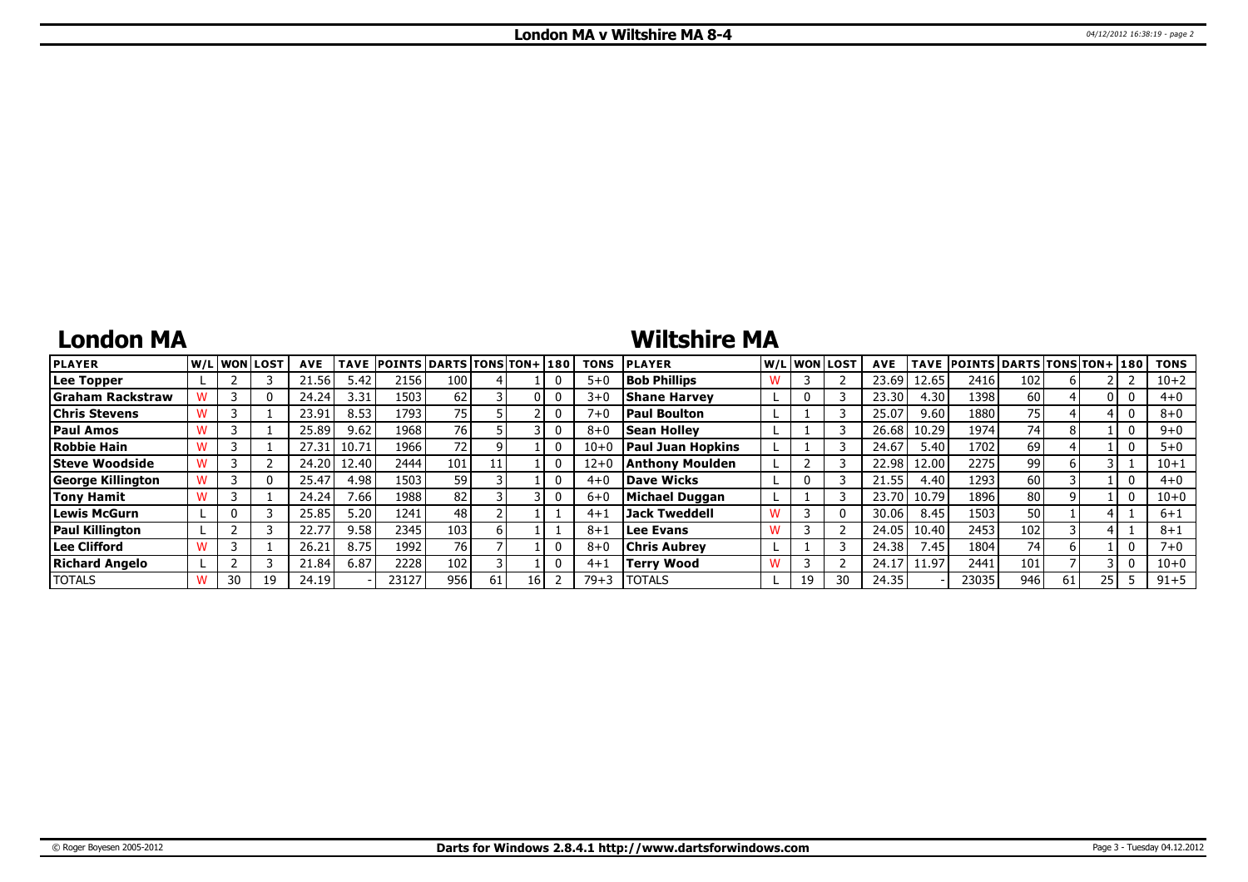# **London MA**

# **Wiltshire MA**

| <b>PLAYER</b>            |    | lw/Llwonllost | <b>AVE</b> | <b>TAVE</b> | <b>POINTS DARTS TONS TON+130</b> |     |  | <b>TONS</b> | <b>PLAYER</b>            |    | W/L WON LOST | <b>AVE</b> |       | TAVE POINTS DARTS TONS TON+ 180 |     |    |      | <b>TONS</b> |
|--------------------------|----|---------------|------------|-------------|----------------------------------|-----|--|-------------|--------------------------|----|--------------|------------|-------|---------------------------------|-----|----|------|-------------|
| Lee Topper               |    |               | 21.56      | 5.42        | 2156                             | 100 |  | $5 + 0$     | <b>Bob Phillips</b>      |    |              | 23.69      | 12.65 | 2416                            | 102 |    |      | $10 + 2$    |
| <b>Graham Rackstraw</b>  |    |               | 24.24      | 3.31        | 1503                             | 62  |  | $3 + C$     | <b>Shane Harvey</b>      |    |              | 23.30      | 4.30  | 1398                            | 60  |    |      | $4 + 0$     |
| Chris Stevens            |    |               | 23.91      | 8.53        | 1793                             | 75  |  | $7 + 0$     | <b>Paul Boulton</b>      |    |              | 25.07      | 9.60  | 1880                            | 75  |    |      | $8 + 0$     |
| <b>Paul Amos</b>         |    |               | 25.89      | 9.62        | 1968                             | 76  |  | $8 + 0$     | <b>Sean Holley</b>       |    |              | 26.68      | 10.29 | 1974                            | 74  |    |      | $9 + 0$     |
| Robbie Hain              |    |               | 27.31      | 10.71       | 1966                             | 72  |  | $10 + 0$    | <b>Paul Juan Hopkins</b> |    |              | 24.67      | 5.40  | 1702                            | 69  |    |      | $5+0$       |
| <b>Steve Woodside</b>    |    |               | 24.20      | 12.40       | 2444                             | 101 |  | $12+0$      | Anthony Moulden          |    |              | 22.98      | 12.00 | 2275                            | 99  |    |      | $10 + 1$    |
| <b>George Killington</b> |    | 0             | 25.47      | 4.98        | 1503                             | 59  |  | $4 + C$     | Dave Wicks               |    |              | 21.55      | 4.40  | 1293                            | 60  |    |      | $4 + 0$     |
| <b>Tony Hamit</b>        |    |               | 24.24      | 7.66        | 1988                             | 82  |  | $6+$        | Michael Duggan           |    |              | 23.70      | 10.79 | 1896                            | 80  |    |      | $10 + 0$    |
| Lewis McGurn             |    |               | 25.85      | 5.20        | 1241                             | 48  |  | $4 + 1$     | Jack Tweddell            |    |              | 30.06      | 8.45  | 1503                            | 50  |    |      | 6+1         |
| <b>Paul Killington</b>   |    |               | 22.77      | 9.58        | 2345                             | 103 |  | $8 + 1$     | Lee Evans                |    |              | 24.05      | 10.40 | 2453                            | 102 |    |      | $8 + 1$     |
| Lee Clifford             |    |               | 26.21      | 8.75        | 1992                             | 76  |  | $8 + 6$     | <b>Chris Aubrey</b>      |    |              | 24.38      | 7.45  | 1804                            | 74  | h  |      | 7+0         |
| <b>Richard Angelo</b>    |    |               | 21.84      | 6.87        | 2228                             | 102 |  | $4 + 1$     | <b>Terry Wood</b>        |    |              | 24.1       | 11.97 | 2441                            | 101 |    |      | $10 + 0$    |
| <b>TOTALS</b>            | 30 | 19            | 24.19      |             | 23127                            | 956 |  | $79 + 3$    | <b>TOTALS</b>            | 19 |              | 24.35      |       | 23035                           | 946 | 61 | 25 I | $91 + 5$    |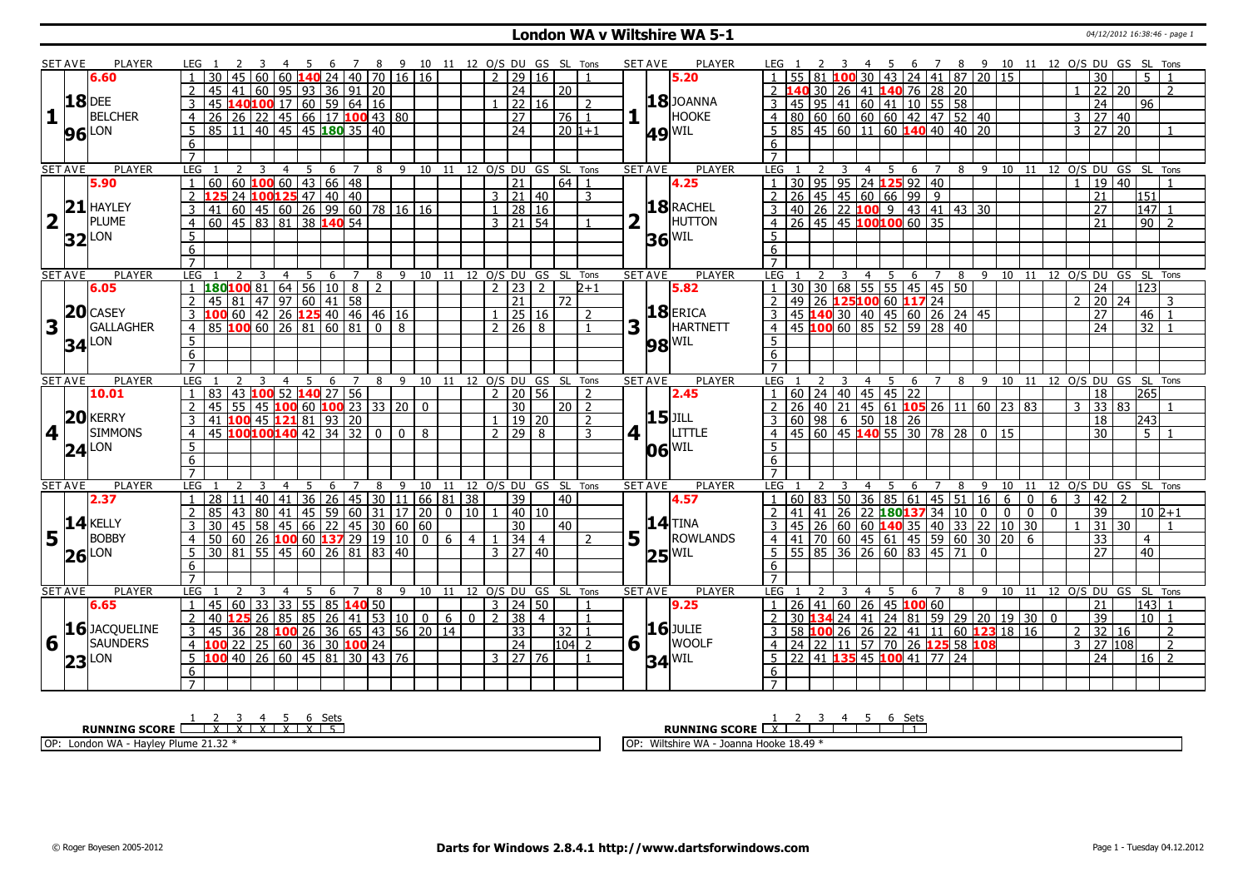### **London WA v Wiltshire WA 5-1 12.12.12.12.12.12.12.12.16:38:46 - page 1**

|                         | SET AVE        | <b>PLAYER</b>          | LEG 1                                                                                                                         | -5<br><sup>7</sup>         | 8 <sup>9</sup>               | 10 11 12 O/S DU GS SL Tons            |                |                                   |                      |                |                | <b>SET AVE</b>   | PLAYER                |                                                                                         |             |                              |                |              |              | 6 7 8 9 10 11 12 0/S DU GS SL Tons |                       |                                  |                   |
|-------------------------|----------------|------------------------|-------------------------------------------------------------------------------------------------------------------------------|----------------------------|------------------------------|---------------------------------------|----------------|-----------------------------------|----------------------|----------------|----------------|------------------|-----------------------|-----------------------------------------------------------------------------------------|-------------|------------------------------|----------------|--------------|--------------|------------------------------------|-----------------------|----------------------------------|-------------------|
|                         |                | 6.60                   | 60   60 <b> 140</b>                                                                                                           | 24   40   70               |                              | 16 16                                 |                | $\overline{2}$<br>$\overline{29}$ | 16                   |                |                |                  | 5.20                  |                                                                                         |             | 30 43 24 41 87 20 15         |                |              |              |                                    | 30                    |                                  | 5 <sup>1</sup>    |
|                         |                |                        | 41 60 95 93 36 91 20<br>45                                                                                                    |                            |                              |                                       |                | $\overline{24}$                   |                      | 20             |                |                  |                       | 30 26 41 140 76 28 20                                                                   |             |                              |                |              |              |                                    | $\overline{22}$       | $\overline{20}$                  |                   |
|                         |                | <b>18</b> DEE          | 3                                                                                                                             |                            |                              |                                       |                | $1 \ 22 \ 16$                     |                      |                | $\overline{z}$ |                  | <b>18</b> JOANNA      |                                                                                         |             |                              |                |              |              |                                    | 24                    | 96                               |                   |
| 11                      |                | <b>BELCHER</b>         | 45 <b>140100</b> 17 60 59 64 16<br>26 26 22 45 66 17 <b>100</b> 43 80<br>$\overline{4}$                                       |                            |                              |                                       |                | $\overline{27}$                   |                      | 76   1         |                |                  | <b>HOOKE</b>          |                                                                                         |             |                              |                |              |              |                                    | $3 \mid 27$           | $ 40\rangle$                     |                   |
|                         |                |                        | 85 11 40 45 45 180 35 40<br>5                                                                                                 |                            |                              |                                       |                | $\overline{24}$                   |                      | $20 1+1$       |                |                  |                       | $85 \mid 45 \mid 60 \mid 11 \mid 60$ <b>140</b> 40 40 20<br>5                           |             |                              |                |              |              | $\mathcal{E}$                      | $\overline{27}$       | $\overline{20}$                  |                   |
|                         |                | <b>96</b> LON          | 6                                                                                                                             |                            |                              |                                       |                |                                   |                      |                |                |                  | $ 49 ^{\rm WIL}$      | 6                                                                                       |             |                              |                |              |              |                                    |                       |                                  |                   |
|                         |                |                        | $\overline{7}$                                                                                                                |                            |                              |                                       |                |                                   |                      |                |                |                  |                       | $\overline{7}$                                                                          |             |                              |                |              |              |                                    |                       |                                  |                   |
|                         | <b>SET AVE</b> | PLAYER                 | LEG 1<br>2<br>-3<br>4                                                                                                         | 5<br>6<br>7                |                              | 8 9 10 11 12 0/S DU GS SL Tons        |                |                                   |                      |                |                | <b>SET AVE</b>   | <b>PLAYER</b>         | LEG<br>3<br>$\overline{4}$                                                              | $5^{\circ}$ | - 6<br>$\overline{7}$        |                |              |              | 8 9 10 11 12 0/S DU GS SL Tons     |                       |                                  |                   |
|                         |                | 5.90                   | 60 60 100 60 43 66 48<br>$\mathbf{1}$                                                                                         |                            |                              |                                       |                | $\overline{21}$                   |                      | $64$ 1         |                |                  | 4.25                  | 30   95   95   24 <b>125</b> 92   40<br>$\vert$ 1                                       |             |                              |                |              |              |                                    | 19 40                 |                                  |                   |
|                         |                |                        | 2 125 24 100 125 47 40 40                                                                                                     |                            |                              |                                       |                | $3 \mid 21 \mid 40$               |                      |                | 3              |                  |                       | $2   26   45   45   60   66   99   9$                                                   |             |                              |                |              |              |                                    | $\overline{21}$       | $\overline{151}$                 |                   |
|                         |                | $21$ HAYLEY            | $\overline{3}$                                                                                                                |                            |                              |                                       |                | $1 \mid 28 \mid 16$               |                      |                |                |                  | 18 RACHEL             | $\overline{3}$                                                                          |             |                              |                |              |              |                                    | $\overline{27}$       |                                  | $147 \mid 1$      |
| $\overline{\mathbf{2}}$ |                | PLUME                  | <u>141 60 45 60 26 99 60 78 16 16</u><br>60 45 83 81 38 <b>140</b> 54                                                         |                            |                              |                                       |                | $3 \mid 21 \mid 54$               |                      |                |                |                  | <b>HUTTON</b>         | 40 26 22 <b>100</b> 9 43 41 43 30<br>26 45 45 100100 60 35                              |             |                              |                |              |              |                                    |                       | 90                               | $\overline{2}$    |
|                         |                |                        |                                                                                                                               |                            |                              |                                       |                |                                   |                      |                |                |                  |                       |                                                                                         |             |                              |                |              |              |                                    | $\overline{21}$       |                                  |                   |
|                         |                | $32$ <sup>LON</sup>    | 5                                                                                                                             |                            |                              |                                       |                |                                   |                      |                |                |                  | $36$ <sup>WIL</sup>   | 5                                                                                       |             |                              |                |              |              |                                    |                       |                                  |                   |
|                         |                |                        | 6                                                                                                                             |                            |                              |                                       |                |                                   |                      |                |                |                  |                       | 6                                                                                       |             |                              |                |              |              |                                    |                       |                                  |                   |
|                         |                |                        | $\overline{7}$                                                                                                                |                            |                              |                                       |                |                                   |                      |                |                |                  |                       | $\overline{7}$                                                                          |             |                              |                |              |              |                                    |                       |                                  |                   |
|                         | <b>SET AVE</b> | PLAYER<br>6.05         | $\overline{4}$<br>LEG<br>3                                                                                                    | 5<br>6<br>$\overline{7}$   | 8<br>9                       | 10<br>11                              |                | 12 0/S DU<br>$\frac{1}{2}$ 23     | GS<br>$\overline{2}$ | SL Tons        | $2 + 1$        | <b>SET AVE</b>   | <b>PLAYER</b><br>5.82 | LEG<br>$\overline{3}$<br>30 30 68 55 55 45 45 50                                        | 4 5         | 6<br>$\overline{7}$          |                |              |              | 8 9 10 11 12 0/S DU GS SL Tons     | $\overline{24}$       | $\overline{123}$                 |                   |
|                         |                |                        | 180100 81 64 56 10 8 2<br>45 81 47 97 60 41 58<br>100 60 42 26 125 40 46 46 16<br>85 100 60 26 81 60 81 0 8<br>$\overline{2}$ |                            |                              |                                       |                | $\overline{21}$                   |                      | 72             |                |                  |                       |                                                                                         |             |                              |                |              |              | $\mathcal{P}$                      |                       | 24                               | 3                 |
|                         |                | 20 CASEY               |                                                                                                                               |                            |                              |                                       |                | $1 \ 25 \ 16$                     |                      |                | $\overline{z}$ |                  | $18$ ERICA            | 2 49 26 125100 60 117 24<br>3 45 140 30 40 45 60 26 24 45<br>4 45 100 60 85 52 59 28 40 |             |                              |                |              |              |                                    | 20<br>$\overline{27}$ |                                  |                   |
| $\overline{\mathbf{3}}$ |                | GALLAGHER              | $\mathbf{3}$                                                                                                                  |                            |                              |                                       |                | 71268                             |                      |                |                |                  | HARTNETT              |                                                                                         |             |                              |                |              |              |                                    | $\overline{24}$       | $\overline{32}$                  | $46$   1          |
|                         |                |                        | $\overline{4}$                                                                                                                |                            |                              |                                       |                |                                   |                      |                |                | 3                |                       |                                                                                         |             |                              |                |              |              |                                    |                       |                                  |                   |
|                         |                | <b>34</b> LON          | 5                                                                                                                             |                            |                              |                                       |                |                                   |                      |                |                |                  | <b>98 WIL</b>         | 5                                                                                       |             |                              |                |              |              |                                    |                       |                                  |                   |
|                         |                |                        | 6                                                                                                                             |                            |                              |                                       |                |                                   |                      |                |                |                  |                       | 6                                                                                       |             |                              |                |              |              |                                    |                       |                                  |                   |
|                         |                |                        | $\overline{7}$<br>$\overline{2}$                                                                                              |                            |                              |                                       |                |                                   |                      |                |                |                  | <b>PLAYER</b>         | $\overline{7}$                                                                          |             |                              |                |              |              |                                    |                       |                                  |                   |
|                         | <b>SET AVE</b> | <b>PLAYER</b><br>10.01 | LEG<br>3<br>$\overline{4}$<br>83 43 100 52 140 27 56                                                                          | - 5<br>6<br>$\overline{7}$ |                              | 8 9 10 11 12 O/S DU GS SL Tons        |                | $2$   20   56                     |                      |                | $\overline{z}$ | <b>SET AVE</b>   | 2.45                  | LEG<br>$\overline{4}$<br>60 24 40 45 45 22<br>$\sqrt{1}$                                | - 5         | 6 7 8                        |                | 9 10 11      |              | 12 O/S DU GS SL Tons               | 18                    | 265                              |                   |
|                         |                |                        | 55 45 100 60 100 23 33 20<br>$\overline{2}$<br>45                                                                             |                            |                              | $\Omega$                              |                | $\overline{30}$                   |                      | $20$   2       |                |                  |                       | $\boxed{40}$ 21 45 61 <b>105</b> 26 11<br>26                                            |             |                              |                | $60$ 23 83   |              |                                    | 33 83                 |                                  |                   |
|                         |                | 20 KERRY               |                                                                                                                               |                            |                              |                                       |                |                                   | 19 20                |                | $\overline{2}$ |                  | <b>15</b> JILL        | 60 98                                                                                   |             |                              |                |              |              |                                    |                       |                                  |                   |
|                         |                | <b>SIMMONS</b>         | 41 100 45 121 81 93 20                                                                                                        |                            |                              |                                       |                |                                   |                      |                |                |                  | <b>LITTLE</b>         | $6$ 50 18 26                                                                            |             |                              |                |              |              |                                    | 18                    | 243                              |                   |
| 14 I                    |                |                        | 45 100100140 42 34 32<br>$\overline{4}$                                                                                       |                            | $\mathbf{0}$<br>$\mathbf{0}$ | 8                                     |                | 29<br>2 <sub>1</sub>              | 8                    |                | 3              | 4 1              |                       | 45   60   45 <b>140</b> 55   30   78   28   0   15<br>$\overline{4}$                    |             |                              |                |              |              |                                    | 30                    |                                  | 5 <sup>1</sup>    |
|                         |                | $24$ <sup>LON</sup>    | 5                                                                                                                             |                            |                              |                                       |                |                                   |                      |                |                |                  | $ 06 ^{\text{WIL}}$   | 5                                                                                       |             |                              |                |              |              |                                    |                       |                                  |                   |
|                         |                |                        | 6                                                                                                                             |                            |                              |                                       |                |                                   |                      |                |                |                  |                       | 6                                                                                       |             |                              |                |              |              |                                    |                       |                                  |                   |
|                         |                |                        | $\overline{7}$                                                                                                                |                            |                              |                                       |                |                                   |                      |                |                |                  |                       | $\overline{7}$                                                                          |             |                              |                |              |              |                                    |                       |                                  |                   |
|                         | <b>SET AVE</b> | <b>PLAYER</b>          | LEG<br>$\overline{z}$<br>4<br>28                                                                                              | 5<br>6<br>7                | 9<br>8<br>11 <sup>1</sup>    | 10<br>11                              |                | 12 O/S DU GS SL<br>39             |                      |                | Tons           | <b>SET AVE</b>   | <b>PLAYER</b>         | <b>LEG</b><br>4<br>60 83<br>$\overline{1}$                                              | 5<br>85     | 6<br>7<br>61                 | 8<br>$51 \ 16$ | 9<br>10      | 11           | 3                                  |                       | 12 O/S DU GS SL<br>$\mathcal{P}$ | Tons              |
|                         |                | 2.37                   | 40<br>41<br>  11<br>$\overline{2}$<br>85                                                                                      | 36 26 45 30<br>45 59 60 31 |                              | 66 81 38                              |                |                                   |                      | 40             |                |                  | 4.57                  | 36<br>50<br>$\overline{2}$<br>41                                                        |             | 45                           |                | 6            | 0            | 6<br>$\Omega$                      | 42<br>39              |                                  | $10\,$ $2+1$      |
|                         |                | $14$ <b>KELLY</b>      | 43   80  <br>  41                                                                                                             |                            |                              | 17 20                                 |                | 30                                | 40 10                |                |                |                  | <b>14 TINA</b>        | 41   26   22   180 137 34   10   0                                                      |             |                              |                | $\mathbf{0}$ | $\mathbf{0}$ |                                    | $\overline{31}$       | 30                               |                   |
|                         |                | <b>BOBBY</b>           | 45 58 45 66 22 45 30<br>30<br>3                                                                                               |                            |                              | 60 60                                 |                |                                   |                      | 40             |                |                  | ROWLANDS              | 45 26 60 60 140 35 40 33 22 10 30<br>3                                                  |             |                              |                |              |              |                                    |                       |                                  | $\overline{1}$    |
| $5\vert$                |                |                        | 50 60 26 100 60 137 29 19<br>$\overline{4}$                                                                                   |                            | 10                           | 0 <sup>1</sup><br>6                   | $\overline{4}$ | 34                                | $\overline{4}$       |                | $\overline{2}$ | $5\vert \bar{1}$ |                       | 70 60 45 61 45 59 60 30<br>4 41                                                         |             |                              |                | 20           | 6            |                                    | $\overline{33}$       | $\overline{4}$                   |                   |
|                         |                | $26$ <sup>LON</sup>    | 30 81 55 45 60 26 81 83<br>5                                                                                                  |                            | 40                           |                                       |                | $3 \mid 27 \mid 40$               |                      |                |                |                  | $25^{ WIL }$          | $55 \ 85 \ 36 \ 26 \ 60 \ 83 \ 45 \ 71 \ 0$<br>- 5 I                                    |             |                              |                |              |              |                                    | $\overline{27}$       | 40                               |                   |
|                         |                |                        | 6                                                                                                                             |                            |                              |                                       |                |                                   |                      |                |                |                  |                       | 6                                                                                       |             |                              |                |              |              |                                    |                       |                                  |                   |
|                         |                |                        | $\overline{7}$                                                                                                                |                            |                              |                                       |                |                                   |                      |                |                |                  |                       | $\overline{7}$                                                                          |             |                              |                |              |              |                                    |                       |                                  |                   |
|                         | <b>SET AVE</b> | <b>PLAYER</b>          | LEG<br>$\overline{4}$                                                                                                         | 6                          | 8<br>9                       | 10 11                                 |                | 12 O/S DU GS SL Tons              |                      |                |                | <b>SET AVE</b>   | <b>PLAYER</b>         | <b>LEG</b><br>$\overline{4}$                                                            | - 5         | 6<br>$\overline{7}$          | 8              | - 9          |              | 10 11 12 O/S DU GS SL Tons         |                       |                                  |                   |
|                         |                | 6.65                   | 60   33   33   55   85 <b>140</b> 50<br>45<br>$\overline{1}$                                                                  |                            |                              |                                       |                | $3 \mid 24 \mid 50$               |                      |                | $\overline{1}$ |                  | 9.25                  | $1 \mid 26 \mid 41 \mid 60 \mid 26 \mid 45$ 100 60                                      |             |                              |                |              |              |                                    | $\overline{21}$       |                                  | $143 \mid 1$      |
|                         |                |                        | 40 <b>125</b> 26 85 85<br>2                                                                                                   |                            | 26   41   53   10            | $0 \mid 6 \mid 0 \mid 2 \mid 38 \mid$ |                |                                   | $\overline{4}$       |                | $\overline{1}$ |                  | <b>16</b> JULIE       | $\overline{2}$<br>30 134                                                                |             | 24 41 24 81 59 29 20 19 30 0 |                |              |              |                                    | 39                    |                                  | 10 <sup>1</sup> 1 |
|                         |                |                        |                                                                                                                               |                            |                              |                                       |                | $\overline{33}$                   |                      | $32$   1       |                |                  |                       | 26 26 22 41 11 60 123 18 16<br>58 100                                                   |             |                              |                |              |              |                                    | $2 \mid 32 \mid 16$   |                                  | 2                 |
|                         |                | 16 JACQUELINE          | $36$ 28 <b>100</b> 26 36 65 43 56 20 14<br>45<br>3                                                                            |                            |                              |                                       |                |                                   |                      |                |                |                  |                       |                                                                                         |             |                              |                |              |              |                                    |                       |                                  |                   |
| <b>6</b>                |                | <b>SAUNDERS</b>        | 100 22 25 60 36 30 100 24<br>$\overline{4}$                                                                                   |                            |                              |                                       |                | $\overline{24}$                   |                      | $\sqrt{104}$ 2 |                | 6                | <b>WOOLF</b>          | 24 22 11 57 70 26 125 58 108<br>$\overline{4}$                                          |             |                              |                |              |              | 3                                  | 27 108                |                                  | $\overline{2}$    |
|                         |                |                        | 5 100 40 26 60 45 81 30 43 76                                                                                                 |                            |                              |                                       |                | $3 \mid 27 \mid 76$               |                      |                |                |                  |                       | $5$ 22 41 <b>135</b> 45 <b>100</b> 41 77 24                                             |             |                              |                |              |              |                                    | $\overline{24}$       |                                  | $16\sqrt{2}$      |
|                         |                | $23$ <sup>LON</sup>    | 6                                                                                                                             |                            |                              |                                       |                |                                   |                      |                |                |                  | $34$ <sup>WIL</sup>   | 6<br>$\overline{7}$                                                                     |             |                              |                |              |              |                                    |                       |                                  |                   |

| تناسات<br><b>RUNNING SCORE</b><br>$\cdot$<br>$\ddot{\phantom{1}}$       | Set<br>ししい<br><b>RUNNING SCORE</b>            |
|-------------------------------------------------------------------------|-----------------------------------------------|
| OP:<br><b>1878</b><br>Havley<br><sup>.</sup> Plume 21.32<br>: London WA | 10anna Hooke 18.49 *<br>Wiltshire WA -<br>lop |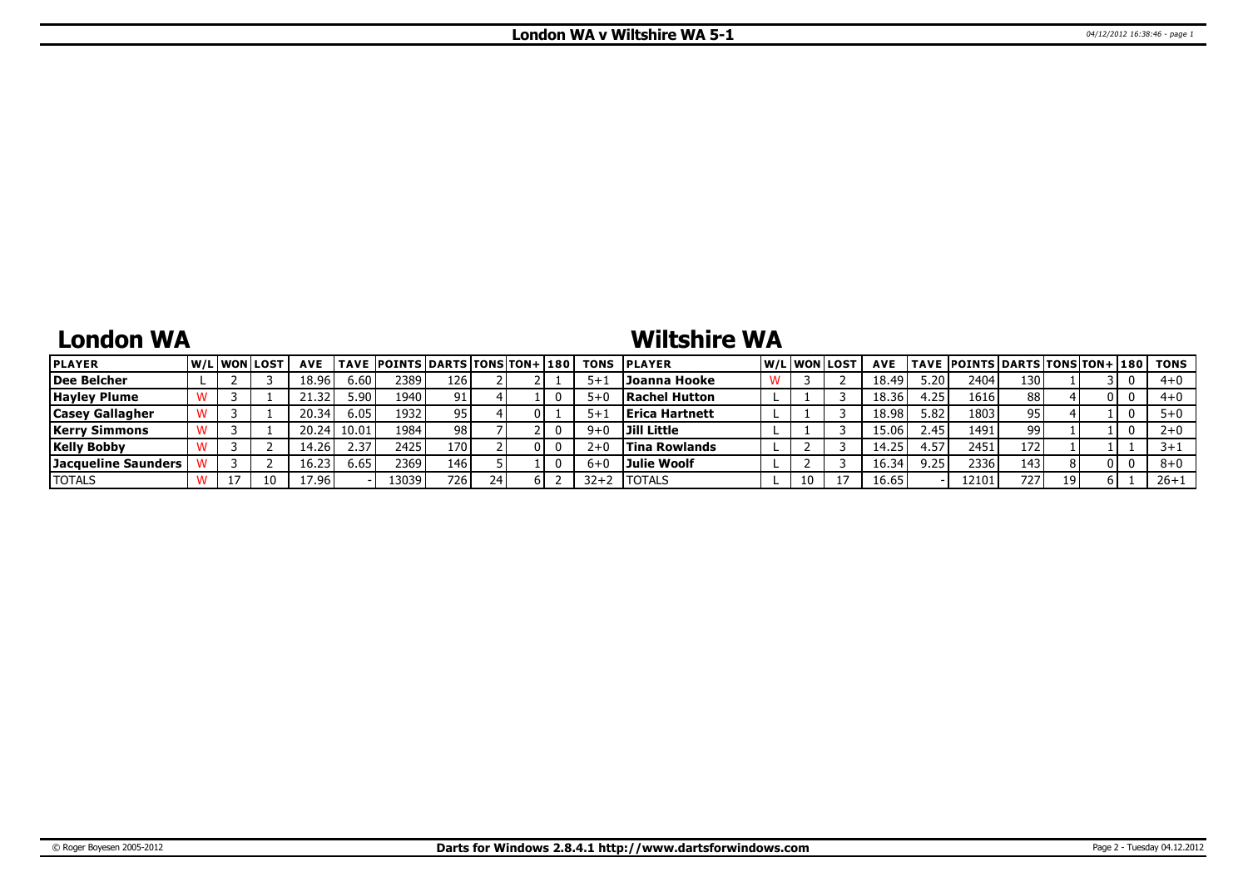## **London WA**

## **Wiltshire WA**

| <b>PLAYER</b>              |  | W/Liwonilost | <b>AVE</b> |       | <b>TAVE POINTS DARTS TONS TON+ 180</b> |     |  |          | <b>TONS PLAYER</b>     |    | W/Liwonilost | <b>AVE</b> |      | TAVE  POINTS   DARTS   TONS   TON+   180 |     |    |     | TONS    |
|----------------------------|--|--------------|------------|-------|----------------------------------------|-----|--|----------|------------------------|----|--------------|------------|------|------------------------------------------|-----|----|-----|---------|
| <b>Dee Belcher</b>         |  |              | 18.96      | 6.60  | 2389                                   | 126 |  |          | Joanna Hooke           |    |              | 18.49      | 5.20 | 2404                                     | 130 |    |     | $4 + 0$ |
| <b>Hayley Plume</b>        |  |              | -32        | 5.90  | 1940                                   | 91  |  |          | Rachel Hutton          |    |              | 18.36      | .25  | 1616                                     | 88  |    | 0 I | $4 + 0$ |
| <b>Casey Gallagher</b>     |  |              | 20.34      | 6.05  | 1932                                   | 95  |  |          | <b>IErica Hartnett</b> |    |              | 18.98      | 5.82 | 1803                                     | 95  |    |     |         |
| Kerry Simmons              |  |              | 20.24      | 10.01 | 1984                                   | 98  |  |          | Jill Little            |    |              | 15.06      | 2.45 | 1491                                     | 99  |    |     |         |
| <b>Kelly Bobby</b>         |  |              | 14.26      | 2.37  | 2425                                   | 170 |  | 2+       | <b>Tina Rowlands</b>   |    |              | 14.25      | 57ء  | 2451                                     | 172 |    |     |         |
| <b>Jacqueline Saunders</b> |  |              | 16.23      | 6.65  | 2369                                   | 146 |  |          | Julie Woolf            |    |              | 16.34      | 9.25 | 2336                                     | 143 |    | 0 I | $8 + 0$ |
| <b>TOTALS</b>              |  |              | 17.96      |       | 3039                                   | 726 |  | $32 + 2$ | <b>ITOTALS</b>         | 10 |              | 16.65      |      | 12101                                    | 727 | 19 |     | 26+1    |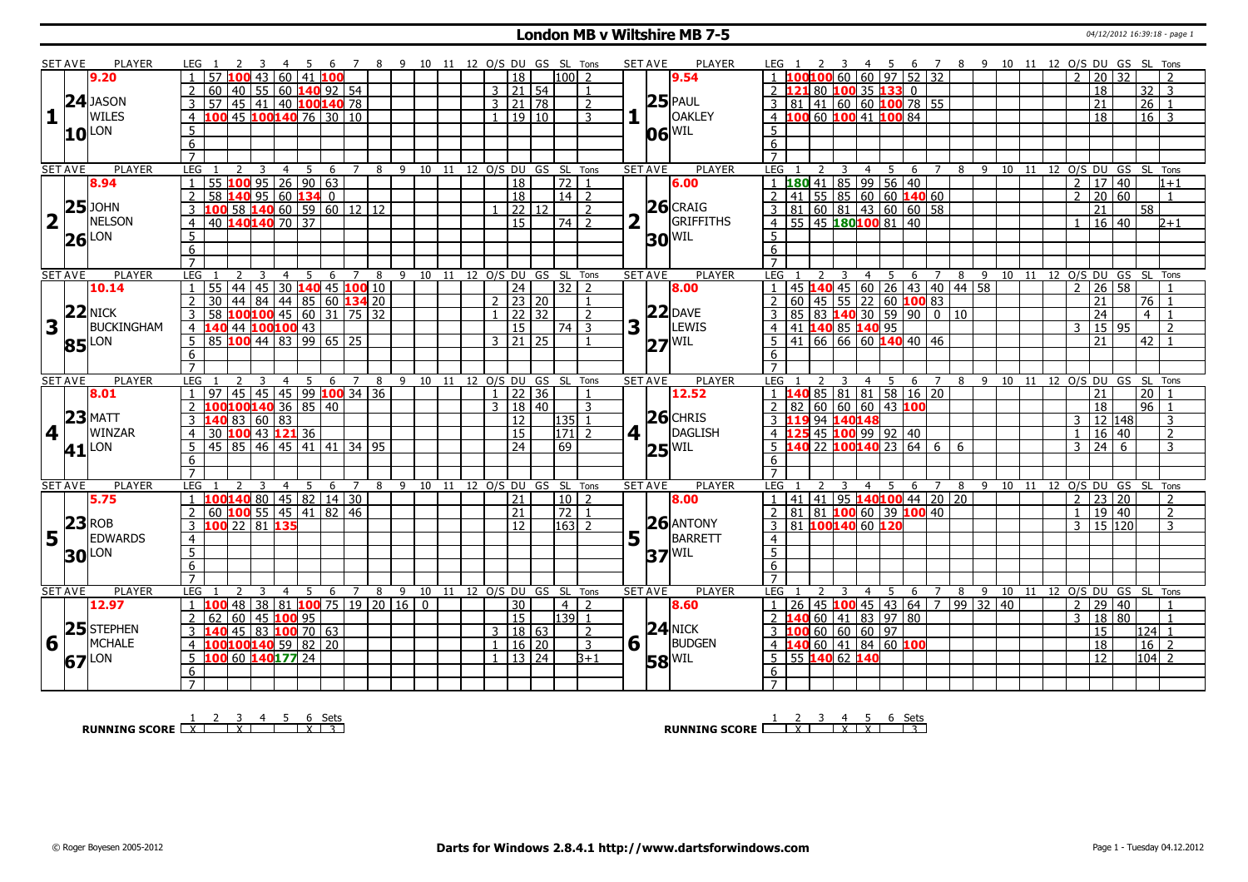### **London MB v Wiltshire MB 7-5 Department of the COND of the COND of the COND of the COND of the COND of the COND of the COND of the COND of the COND of the COND of the COND of the COND of the COND of the COND of the COND**

|                         | <b>SET AVE</b>  | <b>PLAYER</b>     | LEG 1                 | <sup>2</sup><br>$\overline{\mathbf{3}}$               | - 45           |                  |                     |       |   |    | 6 7 8 9 10 11 12 O/S DU GS SL Tons |    |                      |       |                   |                | <b>SET AVE</b> | <b>PLAYER</b>       | LEG 1 2 3 4 5 6 7 8 9 10 11 12 O/S DU GS SL Tons |             |                |                                        |                     |                |    |       |  |                |                                    |                 |                                    |
|-------------------------|-----------------|-------------------|-----------------------|-------------------------------------------------------|----------------|------------------|---------------------|-------|---|----|------------------------------------|----|----------------------|-------|-------------------|----------------|----------------|---------------------|--------------------------------------------------|-------------|----------------|----------------------------------------|---------------------|----------------|----|-------|--|----------------|------------------------------------|-----------------|------------------------------------|
|                         |                 | 9.20              |                       | 57 100 43 60 41 100                                   |                |                  |                     |       |   |    |                                    |    | 18                   |       | l100l             |                |                | 9.54                |                                                  |             |                | 00100 60 60 97 52 32                   |                     |                |    |       |  | $\mathcal{L}$  | 20 32                              |                 |                                    |
|                         |                 |                   |                       | 60 40 55 60 140 92 54                                 |                |                  |                     |       |   |    |                                    |    | $3 \mid 21 \mid 54$  |       |                   | $\overline{1}$ |                |                     | 2 121 80 100 35 133 0                            |             |                |                                        |                     |                |    |       |  |                | 18                                 |                 | 32<br>$\overline{3}$               |
|                         |                 | $24$ JASON        | $\overline{3}$        |                                                       |                |                  |                     |       |   |    |                                    |    | 3   21   78          |       |                   | 2              |                | $25$ PAUL           | $3 \ 81 \ 41 \ 60 \ 60 \ 100 \ 78 \ 55$          |             |                |                                        |                     |                |    |       |  |                | 21                                 |                 | $\overline{26}$<br>$\blacksquare$  |
| 11                      |                 | WILES             |                       | 57 45 41 40 100 140 78                                |                |                  |                     |       |   |    |                                    |    | 1   19   10          |       |                   | $\mathbf{3}$   |                | <b>OAKLEY</b>       | 4 100 60 100 41 100 84                           |             |                |                                        |                     |                |    |       |  |                | $\overline{18}$                    |                 | $16$ 3                             |
|                         |                 |                   | $\overline{4}$        |                                                       |                |                  |                     |       |   |    |                                    |    |                      |       |                   |                |                |                     |                                                  |             |                |                                        |                     |                |    |       |  |                |                                    |                 |                                    |
|                         |                 | $10^{\text{LON}}$ | -5                    |                                                       |                |                  |                     |       |   |    |                                    |    |                      |       |                   |                |                | $ 06 ^{\rm WIL}$    | 5 <sup>5</sup>                                   |             |                |                                        |                     |                |    |       |  |                |                                    |                 |                                    |
|                         |                 |                   | 6                     |                                                       |                |                  |                     |       |   |    |                                    |    |                      |       |                   |                |                |                     | 6                                                |             |                |                                        |                     |                |    |       |  |                |                                    |                 |                                    |
|                         |                 |                   | $\overline{7}$        |                                                       |                |                  |                     |       |   |    |                                    |    |                      |       |                   |                |                |                     |                                                  |             |                |                                        |                     |                |    |       |  |                |                                    |                 |                                    |
|                         | <b>SET AVE</b>  | <b>PLAYER</b>     | LEG                   | 2<br>$\overline{\mathbf{3}}$                          | $\overline{4}$ | $5^{\circ}$<br>6 |                     |       |   |    | 7 8 9 10 11 12 O/S DU GS SL Tons   |    |                      |       |                   |                | <b>SET AVE</b> | <b>PLAYER</b>       | LEG <sub>1</sub>                                 | $2 \quad 3$ |                | 4 5 6 7 8 9 10 11 12 O/S DU GS SL Tons |                     |                |    |       |  |                |                                    |                 |                                    |
|                         |                 | 8.94              |                       | $55$ 100 95 26 90 63                                  |                |                  |                     |       |   |    |                                    |    | $\overline{18}$      |       | $\overline{72}$ 1 |                |                | 6.00                |                                                  |             |                | $180$ 41 85 99 56 40                   |                     |                |    |       |  |                | 2   17   40                        |                 | $1 + 1$                            |
|                         |                 |                   | $\overline{2}$        | 58 140 95 60 134 0                                    |                |                  |                     |       |   |    |                                    |    | 18                   |       | $14$   2          |                |                |                     |                                                  |             |                | $41$   55   85   60   60   140   60    |                     |                |    |       |  |                | $2 \mid 20 \mid 60$                |                 | $\overline{1}$                     |
|                         |                 | $25$ JOHN         |                       | $\overline{.00}$ 58 140 60 59 60 12 12                |                |                  |                     |       |   |    |                                    |    |                      | 22 12 |                   | $\overline{2}$ |                | $26$ CRAIG          |                                                  |             |                | 81   60   81   43   60   60   58       |                     |                |    |       |  |                | 21                                 | 58              |                                    |
| $\overline{\mathbf{2}}$ |                 | <b>NELSON</b>     | $\overline{4}$        | 40 140 140 70 37                                      |                |                  |                     |       |   |    |                                    |    | 15                   |       | 74 l              | $\overline{z}$ |                | GRIFFITHS           |                                                  |             |                | 55 45 180 100 81 40                    |                     |                |    |       |  |                | $16 \mid 40$                       |                 | $2 + 1$                            |
|                         |                 | $26$ LON          | $5\overline{)}$       |                                                       |                |                  |                     |       |   |    |                                    |    |                      |       |                   |                |                | $30$ MIL            | 5                                                |             |                |                                        |                     |                |    |       |  |                |                                    |                 |                                    |
|                         |                 |                   | $6\overline{6}$       |                                                       |                |                  |                     |       |   |    |                                    |    |                      |       |                   |                |                |                     | 6                                                |             |                |                                        |                     |                |    |       |  |                |                                    |                 |                                    |
|                         |                 |                   | $\overline{7}$        |                                                       |                |                  |                     |       |   |    |                                    |    |                      |       |                   |                |                |                     |                                                  |             |                |                                        |                     |                |    |       |  |                |                                    |                 |                                    |
|                         | <b>SET AVE</b>  | <b>PLAYER</b>     | LEG                   |                                                       | $\overline{4}$ | 5<br>6           | 7                   | 8     | 9 | 10 | 11                                 |    | 12 O/S DU GS SL Tons |       |                   |                | <b>SET AVE</b> | <b>PLAYER</b>       | <b>LEG</b>                                       |             |                | 4 5                                    | 6 7                 | 8              |    |       |  |                |                                    |                 | 9 10 11 12 O/S DU GS SL Tons       |
|                         |                 | 10.14             | 55<br>$\overline{1}$  | 44   45   30 <b>140</b>   45 <b>100</b> 10            |                |                  |                     |       |   |    |                                    |    | 24                   |       | $32$   2          |                |                | 8.00                | $\mathbf{1}$                                     |             |                | 45 <b>140</b> 45 60 26 43 40 44 58     |                     |                |    |       |  | $\overline{2}$ | 26 58                              |                 |                                    |
|                         |                 |                   | $\overline{30}$<br>2  | 44 84 44 85 60 134 20                                 |                |                  |                     |       |   |    |                                    |    | $2 \mid 23 \mid 20$  |       |                   | $\overline{1}$ |                |                     | $\overline{2}$                                   |             |                | $60$ 45 55 22 60 100 83                |                     |                |    |       |  |                | 21                                 |                 | 76                                 |
|                         |                 | $22$ NICK         | $\mathbf{3}$          |                                                       |                |                  |                     |       |   |    |                                    |    | $1 \mid 22 \mid 32$  |       |                   | $\overline{2}$ |                | $22$ DAVE           | 3                                                |             |                | 85 83 140 30 59 90 0 10                |                     |                |    |       |  |                | $\overline{24}$                    |                 | $\overline{4}$<br>$\overline{1}$   |
| $\overline{\mathbf{3}}$ |                 | BUCKINGHAM        | $\overline{4}$        | <u>58 100100 45 60 31 75 32<br/>140 44 100100 43</u>  |                |                  |                     |       |   |    |                                    |    | $\overline{15}$      |       | 74                | $\mathbf{R}$   | 3              | LEWIS               | 41 140 85 140 95<br>$\overline{4}$               |             |                |                                        |                     |                |    |       |  | $\mathbf{R}$   | 15 95                              |                 | $\overline{2}$                     |
|                         |                 |                   | -5                    | 85 100 44 83 99 65 25                                 |                |                  |                     |       |   |    |                                    |    | $3 \mid 21 \mid 25$  |       |                   |                |                |                     |                                                  |             |                | 41 66 66 60 140 40 46                  |                     |                |    |       |  |                | $\overline{21}$                    |                 | 42                                 |
|                         |                 | 85 LON            |                       |                                                       |                |                  |                     |       |   |    |                                    |    |                      |       |                   |                |                | $27^{ WIL }$        |                                                  |             |                |                                        |                     |                |    |       |  |                |                                    |                 |                                    |
|                         |                 |                   | 6                     |                                                       |                |                  |                     |       |   |    |                                    |    |                      |       |                   |                |                |                     | 6                                                |             |                |                                        |                     |                |    |       |  |                |                                    |                 |                                    |
|                         | <b>SET AVE</b>  | <b>PLAYER</b>     |                       |                                                       |                | 5                | $\overline{7}$<br>6 | 8     | 9 | 10 | 11                                 | 12 | O/S DU GS SL Tons    |       |                   |                | <b>SET AVE</b> | <b>PLAYER</b>       | <b>LEG</b>                                       |             | 4              | 5                                      | 6                   | 89             |    | 10 11 |  |                |                                    |                 | 12 O/S DU GS SL Tons               |
|                         |                 |                   |                       |                                                       |                |                  |                     |       |   |    |                                    |    |                      |       |                   |                |                |                     |                                                  |             |                |                                        |                     |                |    |       |  |                |                                    |                 |                                    |
|                         |                 |                   | LEG                   |                                                       | $\overline{4}$ |                  |                     |       |   |    |                                    |    |                      |       |                   |                |                |                     |                                                  |             |                |                                        |                     |                |    |       |  |                |                                    |                 |                                    |
|                         |                 | 8.01              |                       | 45 45 45 99 100 34 36                                 |                |                  |                     |       |   |    |                                    |    | $\overline{1}$       | 22 36 |                   |                |                | 12.52               |                                                  |             |                | 40 85 81 81 58 16 20                   |                     |                |    |       |  |                | 21                                 | $\overline{20}$ |                                    |
|                         |                 |                   | 2                     | 100100140 36 85 40                                    |                |                  |                     |       |   |    |                                    |    | 3   18   40          |       |                   | 3              |                |                     | <sup>2</sup>                                     |             |                | 82   60   60   60   43   100           |                     |                |    |       |  |                | 18                                 |                 | $96$ $1$                           |
|                         |                 | $23$ MATT         | 3                     | 140 83 60 83                                          |                |                  |                     |       |   |    |                                    |    | 12                   |       | 135 1             |                |                | $26$ CHRIS          | 3 119 94 140 148                                 |             |                |                                        |                     |                |    |       |  | 3              | 12 148                             |                 | 3                                  |
| 4                       |                 | WINZAR            | $\overline{4}$        | 30 100 43 121 36                                      |                |                  |                     |       |   |    |                                    |    | $\overline{15}$      |       | $171$ 2           |                | 4 1            | DAGLISH             | 4 125 45 100 99 92 40                            |             |                |                                        |                     |                |    |       |  | $\mathbf{1}$   | 16 40                              |                 | $\overline{2}$                     |
|                         |                 |                   | 5                     | 45 85 46 45 41                                        |                | $\overline{141}$ |                     | 34 95 |   |    |                                    |    | 24                   |       | 69                |                |                |                     | 5 <sub>1</sub>                                   |             |                | $140$ 22 100140 23 64 6                |                     | $\overline{6}$ |    |       |  | 3              | 24                                 | 6               | 3                                  |
|                         |                 | 41 <sup>LON</sup> | 6                     |                                                       |                |                  |                     |       |   |    |                                    |    |                      |       |                   |                |                | $25^{ WIL }$        | 6                                                |             |                |                                        |                     |                |    |       |  |                |                                    |                 |                                    |
|                         |                 |                   | $\overline{7}$        |                                                       |                |                  |                     |       |   |    |                                    |    |                      |       |                   |                |                |                     | $\overline{7}$                                   |             |                |                                        |                     |                |    |       |  |                |                                    |                 |                                    |
|                         | <b>SET AVE</b>  | PLAYER            | LEG                   | 3                                                     | -4             | -5               | 6<br>$\overline{7}$ |       |   |    | 8 9 10 11 12 O/S DU GS SL Tons     |    |                      |       |                   |                | <b>SET AVE</b> | <b>PLAYER</b>       | <b>LEG</b>                                       |             | $\overline{4}$ | $5^{\circ}$                            |                     |                |    |       |  |                |                                    |                 | 6 7 8 9 10 11 12 O/S DU GS SL Tons |
|                         |                 | 5.75              |                       | $100140$ 80   45   82   14   30                       |                |                  |                     |       |   |    |                                    |    | $\overline{21}$      |       | $10$   2          |                |                | 8.00                | $\mathbf{1}$                                     |             |                | 41 41 95 140100 44 20 20               |                     |                |    |       |  |                | $\frac{1}{2}$ 23 20                |                 | $\overline{2}$                     |
|                         |                 |                   | 2                     | 60 100 55 45 41 82 46                                 |                |                  |                     |       |   |    |                                    |    | $\overline{21}$      |       | $72$   1          |                |                |                     | 2                                                |             |                | 81 81 100 60 39 100 40                 |                     |                |    |       |  | $\overline{1}$ | 19 40                              |                 | 2                                  |
|                         |                 | $23$ ROB          | 3                     | 100 22 81 135                                         |                |                  |                     |       |   |    |                                    |    | $\overline{12}$      |       | $ 163 $ 2         |                |                | $26$ ANTONY         | 81 100140 60 120<br>$\overline{3}$               |             |                |                                        |                     |                |    |       |  |                | 3   15   120                       |                 | 3                                  |
|                         | $5\overline{1}$ | EDWARDS           | 4                     |                                                       |                |                  |                     |       |   |    |                                    |    |                      |       |                   |                | 5              | BARRETT             | $\overline{4}$                                   |             |                |                                        |                     |                |    |       |  |                |                                    |                 |                                    |
|                         |                 |                   | 5                     |                                                       |                |                  |                     |       |   |    |                                    |    |                      |       |                   |                |                |                     | $\overline{5}$                                   |             |                |                                        |                     |                |    |       |  |                |                                    |                 |                                    |
|                         |                 | <b>30</b> LON     | 6                     |                                                       |                |                  |                     |       |   |    |                                    |    |                      |       |                   |                |                | $37$ <sup>WIL</sup> | 6                                                |             |                |                                        |                     |                |    |       |  |                |                                    |                 |                                    |
|                         |                 |                   | $\overline{7}$        |                                                       |                |                  |                     |       |   |    |                                    |    |                      |       |                   |                |                |                     | $\overline{7}$                                   |             |                |                                        |                     |                |    |       |  |                |                                    |                 |                                    |
|                         | <b>SET AVE</b>  | PLAYER            | LEG                   | 3                                                     | $\overline{4}$ | - 5              | 6<br>$\overline{7}$ | 8     | 9 | 10 | 11 12 O/S DU GS SL Tons            |    |                      |       |                   |                | <b>SET AVE</b> | <b>PLAYER</b>       | LEG                                              |             | $\overline{4}$ | -5                                     | 6<br>$\overline{7}$ | 8              | -9 |       |  |                |                                    |                 | 10 11 12 O/S DU GS SL Tons         |
|                         |                 | 12.97             | $\overline{1}$<br>100 | 48   38   81   <mark>100</mark> 75   19   20   16   0 |                |                  |                     |       |   |    |                                    |    | 30                   |       | 4 <sup>1</sup>    | $\overline{z}$ |                | 8.60                |                                                  |             |                | 26 45 100 45 43 64 7 99 32 40          |                     |                |    |       |  | 2              | 29 40                              |                 |                                    |
|                         |                 |                   | $\sqrt{2}$<br>62      |                                                       |                |                  |                     |       |   |    |                                    |    | $\overline{15}$      |       | $139$ 1           |                |                |                     |                                                  |             |                | <b>40</b> 60 41 83 97 80               |                     |                |    |       |  | 3              | 18 80                              |                 | $\mathbf{1}$                       |
|                         |                 | 25 STEPHEN        | 3                     | 60 45 100 95                                          |                |                  |                     |       |   |    |                                    |    | 3   18   63          |       |                   | 2              |                | $24$ NICK           |                                                  |             |                |                                        |                     |                |    |       |  |                | $\overline{15}$                    |                 | 124 1                              |
|                         |                 | <b>MCHALE</b>     | $\overline{4}$        | 140 45 83 100 70 63                                   |                |                  |                     |       |   |    |                                    |    |                      |       |                   | $\overline{3}$ |                | <b>BUDGEN</b>       | $3 \mid 100 \mid 60 \mid 60 \mid 60 \mid 97$     |             |                |                                        |                     |                |    |       |  |                |                                    |                 |                                    |
| 6                       |                 |                   | 5                     | 100100140 59 82 20                                    |                |                  |                     |       |   |    |                                    |    | 1   16   20          |       |                   | $B+1$          | $6\sqrt{ }$    |                     | 4 140 60 41 84 60 100                            |             |                |                                        |                     |                |    |       |  |                | $\overline{18}$<br>$\overline{12}$ |                 | $16 \mid 2$                        |
|                         |                 | 67LON             |                       | 100 60 140177 24                                      |                |                  |                     |       |   |    |                                    |    | $1 \mid 13 \mid 24$  |       |                   |                |                | <b>58 WIL</b>       | 55 140 62 140<br>5                               |             |                |                                        |                     |                |    |       |  |                |                                    |                 | $\sqrt{104}$ 2                     |
|                         |                 |                   | 6                     |                                                       |                |                  |                     |       |   |    |                                    |    |                      |       |                   |                |                |                     | 6                                                |             |                |                                        |                     |                |    |       |  |                |                                    |                 |                                    |

**RUNNING SCORE**  $\begin{array}{|c|c|c|c|c|}\n\hline\n & 1 & 2 & 3 & 4 & 5 & 6 & \text{Sets} \\
\hline\n\end{array}$ 

**RUNNING SCORE**  $\begin{array}{|c|c|c|c|c|}\n\hline\n & 2 & 3 & 4 & 5 & 6 & \text{Sets}} \\
\hline\n\end{array}$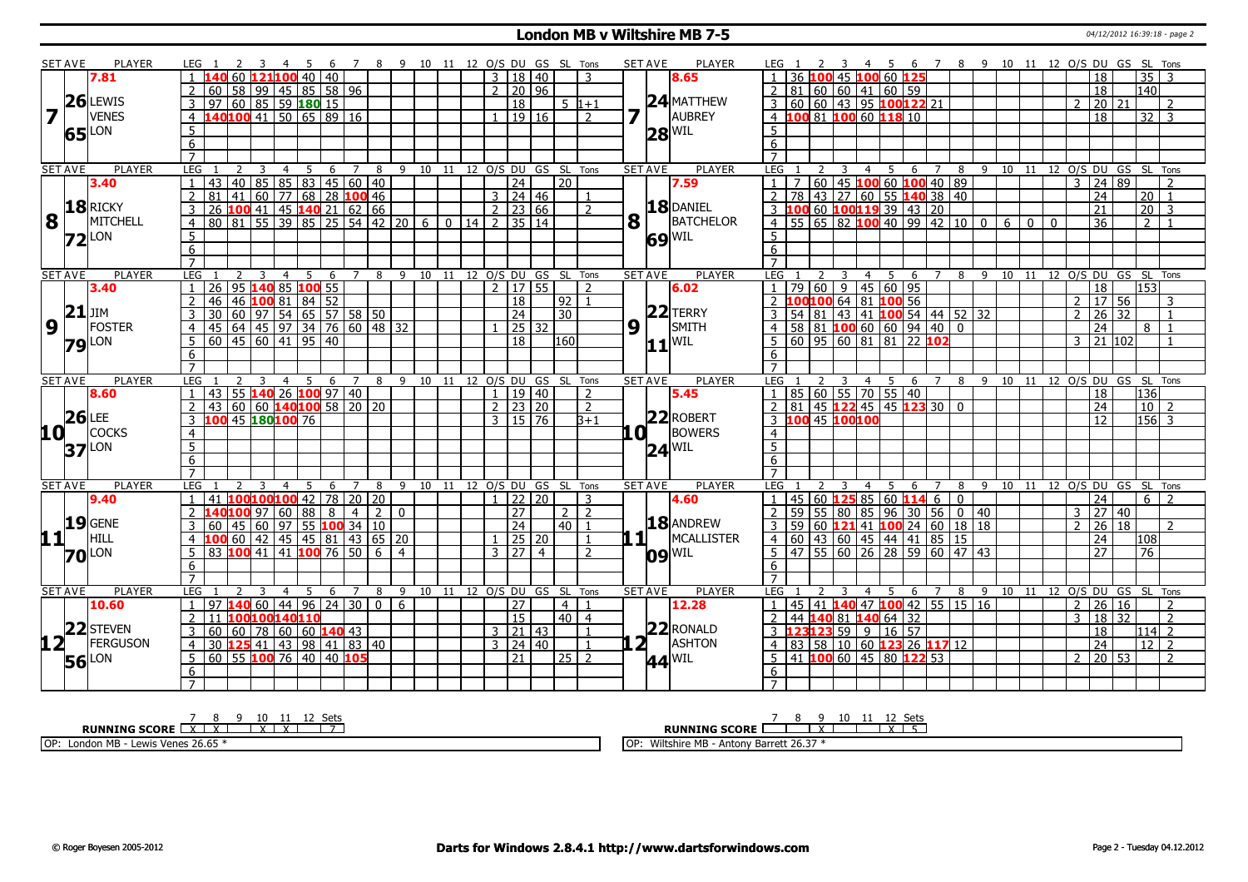#### **London MB v Wiltshire MB 7-5 16:39:18** - page 2

|                         | <b>SET AVE</b> | <b>PLAYER</b>       | LEG 1               |                   |                     |   | - 4            | - 5 | - 6                               |                     |                | 7 8 9 10 11 12 O/S DU GS SL Tons |    |    |                |                     |                     |                            |                |   | <b>SET AVE</b>                           | <b>PLAYER</b>       | LEG 1                  |    |    |                         |                | - 45        |                                                               |                |                                                       |   |       |              |              |                |    |                       |                       | 6 7 8 9 10 11 12 O/S DU GS SL Tons |  |
|-------------------------|----------------|---------------------|---------------------|-------------------|---------------------|---|----------------|-----|-----------------------------------|---------------------|----------------|----------------------------------|----|----|----------------|---------------------|---------------------|----------------------------|----------------|---|------------------------------------------|---------------------|------------------------|----|----|-------------------------|----------------|-------------|---------------------------------------------------------------|----------------|-------------------------------------------------------|---|-------|--------------|--------------|----------------|----|-----------------------|-----------------------|------------------------------------|--|
|                         |                | 7.81                |                     |                   |                     |   |                |     | 60 121100 40 40                   |                     |                |                                  |    |    | $\mathbf{3}$   |                     | 18   40             |                            | 3              |   |                                          | 8.65                |                        | 36 |    |                         |                |             | 100 45 100 60 125                                             |                |                                                       |   |       |              |              |                |    | 18                    | $\overline{35}$       |                                    |  |
|                         |                |                     |                     |                   |                     |   |                |     | 60   58   99   45   85   58   96  |                     |                |                                  |    |    |                |                     | $2$ 20 96           |                            |                |   |                                          |                     | 2 81                   |    |    |                         |                |             | 60 60 41 60 59                                                |                |                                                       |   |       |              |              |                |    | 18                    | 140                   |                                    |  |
|                         |                | $26$ LEWIS          | $\mathcal{E}$       |                   |                     |   |                |     | 97 60 85 59 180 15                |                     |                |                                  |    |    |                |                     |                     |                            |                |   |                                          | 24 MATTHEW          |                        |    |    |                         |                |             | $3 60 60 43 95$ 100122 21                                     |                |                                                       |   |       |              |              | $\mathcal{P}$  |    |                       |                       |                                    |  |
| $\overline{\mathbf{z}}$ |                | <b>VENES</b>        |                     |                   |                     |   |                |     |                                   |                     |                |                                  |    |    |                | $\overline{18}$     |                     |                            | $5 \; 1+1$     |   | 7 <sup>5</sup>                           |                     |                        |    |    |                         |                |             |                                                               |                |                                                       |   |       |              |              |                |    | 20 21                 |                       | $\mathcal{P}$                      |  |
|                         |                |                     |                     |                   |                     |   |                |     | 4 140100 41 50 65 89 16           |                     |                |                                  |    |    |                |                     | 1   19   16         |                            | $\overline{2}$ |   |                                          | AUBREY              |                        |    |    |                         |                |             | 4 100 81 100 60 118 10                                        |                |                                                       |   |       |              |              |                |    | $\overline{18}$       |                       | $\overline{32}$ $\overline{3}$     |  |
|                         |                | 65 LON              | 5                   |                   |                     |   |                |     |                                   |                     |                |                                  |    |    |                |                     |                     |                            |                |   |                                          | $28^{\text{WIL}}$   | 5 <sup>1</sup>         |    |    |                         |                |             |                                                               |                |                                                       |   |       |              |              |                |    |                       |                       |                                    |  |
|                         |                |                     | 6                   |                   |                     |   |                |     |                                   |                     |                |                                  |    |    |                |                     |                     |                            |                |   |                                          |                     | 6                      |    |    |                         |                |             |                                                               |                |                                                       |   |       |              |              |                |    |                       |                       |                                    |  |
|                         |                |                     | $\overline{7}$      |                   |                     |   |                |     |                                   |                     |                |                                  |    |    |                |                     |                     |                            |                |   |                                          |                     | $7^{\circ}$            |    |    |                         |                |             |                                                               |                |                                                       |   |       |              |              |                |    |                       |                       |                                    |  |
|                         | <b>SET AVE</b> | <b>PLAYER</b>       | LEG                 |                   | $\overline{2}$      | 3 | $\overline{4}$ | 5   |                                   | $6 \quad 7 \quad 8$ |                | 9 10 11 12 O/S DU GS SL Tons     |    |    |                |                     |                     |                            |                |   | <b>SET AVE</b>                           | <b>PLAYER</b>       | LEG <sub>1</sub>       |    |    | $\overline{\mathbf{3}}$ |                | $4 \quad 5$ |                                                               | 6 7            |                                                       |   |       |              |              |                |    |                       |                       | 8 9 10 11 12 0/S DU GS SL Tons     |  |
|                         |                | 3.40                |                     | 43                |                     |   |                |     | 40 85 85 83 45 60 40              |                     |                |                                  |    |    |                | $\overline{24}$     |                     | $\overline{20}$            |                |   |                                          | 7.59                |                        |    |    |                         |                |             |                                                               |                | 60 45 100 60 100 40 89                                |   |       |              |              | $\overline{3}$ |    | 24 89                 |                       |                                    |  |
|                         |                |                     | $\overline{2}$      | 81 <sup>1</sup>   |                     |   |                |     | $141$ 60 77 68 28 100 46          |                     |                |                                  |    |    |                |                     | $3 \mid 24 \mid 46$ |                            |                |   |                                          |                     | $\overline{2}$         | 78 |    |                         |                |             |                                                               |                | 43 27 60 55 140 38 40                                 |   |       |              |              |                |    | $\overline{24}$       | $\overline{20}$       | $\overline{1}$                     |  |
|                         |                | 18RICKY             | $\overline{3}$      |                   |                     |   |                |     | 26 $100$ 41 45 $140$ 21 62 66     |                     |                |                                  |    |    | $2^{\circ}$    | 23 66               |                     |                            | $\overline{2}$ |   |                                          | 18 DANIEL           |                        |    |    |                         |                |             | 60 100119 39 43 20                                            |                |                                                       |   |       |              |              |                | 21 |                       | 20                    | 3                                  |  |
| 8                       |                | MITCHELL            |                     |                   |                     |   |                |     | 80 81 55 39 85 25 54 42 20 6      |                     |                |                                  |    |    | $\overline{2}$ | 35 14               |                     |                            |                | 8 |                                          | BATCHELOR           | 4 <sup>1</sup>         |    |    |                         |                |             |                                                               |                | $55\,65\,82\,100\,40\,99\,142\,10\,0$                 |   | 6     | $\mathbf{0}$ | $\mathbf{0}$ |                |    | 36                    | 2                     |                                    |  |
|                         |                | $72$ <sup>LON</sup> | 5                   |                   |                     |   |                |     |                                   |                     |                |                                  |    |    |                |                     |                     |                            |                |   |                                          | $69$ <sup>WIL</sup> | 5                      |    |    |                         |                |             |                                                               |                |                                                       |   |       |              |              |                |    |                       |                       |                                    |  |
|                         |                |                     | 6                   |                   |                     |   |                |     |                                   |                     |                |                                  |    |    |                |                     |                     |                            |                |   |                                          |                     | $6\overline{6}$        |    |    |                         |                |             |                                                               |                |                                                       |   |       |              |              |                |    |                       |                       |                                    |  |
|                         |                |                     | $\overline{7}$      |                   |                     |   |                |     |                                   |                     |                |                                  |    |    |                |                     |                     |                            |                |   |                                          |                     | $\overline{7}$         |    |    |                         |                |             |                                                               |                |                                                       |   |       |              |              |                |    |                       |                       |                                    |  |
|                         | <b>SET AVE</b> | <b>PLAYER</b>       | <b>LEG</b>          |                   |                     |   |                | 5   | 6                                 | $7^{\circ}$         | 8              | $\mathsf{q}$                     | 10 | 11 |                |                     |                     | 12 O/S DU GS SL Tons       |                |   | <b>SET AVE</b>                           | <b>PLAYER</b>       | LEG                    |    |    |                         | 4              | -5          | -6                                                            | $\overline{7}$ | 8                                                     | 9 | 10    | 11           |              |                |    |                       |                       | 12 O/S DU GS SL Tons               |  |
|                         |                | 3.40                | $\overline{1}$      |                   |                     |   |                |     | 26 95 140 85 100 55               |                     |                |                                  |    |    |                |                     | 2  17   55          |                            | $\overline{2}$ |   |                                          | 6.02                |                        |    |    |                         |                |             | 79 60 9 45 60 95                                              |                |                                                       |   |       |              |              |                |    | $\overline{18}$       | 153                   |                                    |  |
|                         |                |                     | $\overline{2}$      | 46                |                     |   |                |     | 46 100 81 84 52                   |                     |                |                                  |    |    |                | 18                  |                     | 92   1                     |                |   |                                          |                     | 2 100 100 64 81 100 56 |    |    |                         |                |             |                                                               |                |                                                       |   |       |              |              | 2              |    | 17 56                 |                       | 3                                  |  |
|                         | $21$ JIM       |                     | 3                   | 30 <sup>1</sup>   |                     |   |                |     | $60$ 97 54 65 57 58 50            |                     |                |                                  |    |    |                | $\sqrt{24}$         |                     | 30                         |                |   |                                          | $22$ TERRY          |                        |    |    |                         |                |             |                                                               |                | $3$   54   81   43   41   100 54   44   52   32       |   |       |              |              | $\overline{2}$ |    | $26 \overline{)32}$   |                       | $\overline{1}$                     |  |
| 9                       |                | <b>FOSTER</b>       | $\overline{4}$      | 45                |                     |   |                |     | 64 45 97 34 76 60 48 32           |                     |                |                                  |    |    |                |                     | $\sqrt{25}$ 32      |                            |                | 9 |                                          | SMITH               | $\overline{4}$         |    |    |                         |                |             | 58 81 100 60 60 94 40 0                                       |                |                                                       |   |       |              |              |                |    | $\overline{24}$       |                       | 8                                  |  |
|                         |                |                     | 5                   |                   |                     |   |                |     | $60$   45   60   41   95   40     |                     |                |                                  |    |    |                | $\overline{18}$     |                     | 160                        |                |   |                                          |                     |                        |    |    |                         |                |             | $60$ 95 60 81 81 22 102                                       |                |                                                       |   |       |              |              | $\overline{3}$ |    | 21 102                |                       |                                    |  |
|                         |                | <b>79</b> LON       |                     |                   |                     |   |                |     |                                   |                     |                |                                  |    |    |                |                     |                     |                            |                |   |                                          | $11$ WIL            |                        |    |    |                         |                |             |                                                               |                |                                                       |   |       |              |              |                |    |                       |                       |                                    |  |
|                         |                |                     | 6<br>$\overline{7}$ |                   |                     |   |                |     |                                   |                     |                |                                  |    |    |                |                     |                     |                            |                |   |                                          |                     | 6<br>$\overline{7}$    |    |    |                         |                |             |                                                               |                |                                                       |   |       |              |              |                |    |                       |                       |                                    |  |
|                         | <b>SET AVE</b> | <b>PLAYER</b>       | <b>LEG</b>          |                   |                     |   |                | 5   | 6                                 | 7                   |                | 8 9 10 11 12 0/S DU GS SL Tons   |    |    |                |                     |                     |                            |                |   | <b>SET AVE</b>                           | <b>PLAYER</b>       | LEG                    |    |    |                         | $\overline{4}$ | 5           | 6                                                             | $\overline{7}$ | 8                                                     | 9 |       |              |              |                |    |                       | 10 11 12 0/S DU GS SL | Tons                               |  |
|                         |                | 8.60                |                     | 43                |                     |   |                |     | 55 140 26 100 97 40               |                     |                |                                  |    |    |                |                     | $19$ 40             |                            | 2              |   |                                          | 5.45                |                        |    |    |                         |                |             | 85 60 55 70 55 40                                             |                |                                                       |   |       |              |              |                |    | 18                    | 136                   |                                    |  |
|                         |                |                     | $\overline{2}$      |                   |                     |   |                |     | $-43$ 60 60 140100 58 20 20       |                     |                |                                  |    |    |                | $2 \mid 23 \mid 20$ |                     |                            | $\overline{2}$ |   |                                          |                     | 2                      | 81 |    |                         |                |             | $145$ 122 45 45 123 30 0                                      |                |                                                       |   |       |              |              |                |    | $\overline{24}$       |                       | 10<br>$\overline{2}$               |  |
|                         | $26$ LEE       |                     |                     |                   |                     |   |                |     |                                   |                     |                |                                  |    |    |                |                     | $3 \mid 15 \mid 76$ |                            |                |   |                                          | 22 ROBERT           | 3 100 45 100100        |    |    |                         |                |             |                                                               |                |                                                       |   |       |              |              |                |    | 12                    |                       | $\overline{156}$ 3                 |  |
|                         |                |                     |                     |                   |                     |   |                |     |                                   |                     |                |                                  |    |    |                |                     |                     |                            | $B+1$          |   |                                          |                     |                        |    |    |                         |                |             |                                                               |                |                                                       |   |       |              |              |                |    |                       |                       |                                    |  |
| 10 L                    |                |                     | $\mathcal{R}$       | 100 45 180 100 76 |                     |   |                |     |                                   |                     |                |                                  |    |    |                |                     |                     |                            |                |   |                                          |                     |                        |    |    |                         |                |             |                                                               |                |                                                       |   |       |              |              |                |    |                       |                       |                                    |  |
|                         |                | <b>COCKS</b>        | $\overline{4}$      |                   |                     |   |                |     |                                   |                     |                |                                  |    |    |                |                     |                     |                            |                |   | LOLL                                     | BOWERS              | $\overline{4}$         |    |    |                         |                |             |                                                               |                |                                                       |   |       |              |              |                |    |                       |                       |                                    |  |
|                         |                |                     | 5 <sup>5</sup>      |                   |                     |   |                |     |                                   |                     |                |                                  |    |    |                |                     |                     |                            |                |   |                                          | $24^{ WIL }$        | 5 <sup>7</sup>         |    |    |                         |                |             |                                                               |                |                                                       |   |       |              |              |                |    |                       |                       |                                    |  |
|                         |                | $37$ <sup>LON</sup> | 6 <sup>7</sup>      |                   |                     |   |                |     |                                   |                     |                |                                  |    |    |                |                     |                     |                            |                |   |                                          |                     | 6                      |    |    |                         |                |             |                                                               |                |                                                       |   |       |              |              |                |    |                       |                       |                                    |  |
|                         |                |                     | $\overline{7}$      |                   |                     |   |                |     |                                   |                     |                |                                  |    |    |                |                     |                     |                            |                |   |                                          |                     | $7^{\circ}$            |    |    |                         |                |             |                                                               |                |                                                       |   |       |              |              |                |    |                       |                       |                                    |  |
|                         | <b>SET AVE</b> | <b>PLAYER</b>       | LEG                 |                   |                     |   | $\overline{4}$ | 5   | 6                                 | $\overline{7}$      | 8              | 9 10 11 12 O/S DU GS SL Tons     |    |    |                |                     |                     |                            |                |   | <b>SET AVE</b>                           | <b>PLAYER</b>       | LEG                    |    |    |                         | $\overline{4}$ | - 5         | 6                                                             | $\overline{7}$ | - 8                                                   |   |       |              |              |                |    |                       |                       | 9 10 11 12 O/S DU GS SL Tons       |  |
|                         |                | 9.40                | $\overline{1}$      |                   |                     |   |                |     | 41 100 100 100 42 78 20 20        |                     |                |                                  |    |    |                | 22 20               |                     |                            | 3              |   |                                          | 4.60                | $\mathbf{1}$           |    |    |                         | 45 60 125 85   |             | 601146                                                        |                | l 0                                                   |   |       |              |              |                |    | 24                    |                       | 6<br>$\overline{2}$                |  |
|                         |                |                     | $\overline{2}$      |                   | 140100 97   60   88 |   |                |     | 8 <sup>1</sup>                    | 4 <sup>1</sup>      | 2 <sup>1</sup> | $\Omega$                         |    |    |                | $\overline{27}$     |                     | $2\sqrt{2}$                |                |   |                                          |                     | $2^{\circ}$            | 59 | 55 | 80                      | 85             | 96          | 30 <sup>°</sup>                                               |                | $56$ 0 40                                             |   |       |              |              | $\overline{3}$ |    | 27                    | 40                    |                                    |  |
|                         |                | $19$ GENE           |                     | 60                |                     |   |                |     | 45 60 97 55 100 34 10             |                     |                |                                  |    |    |                | $\overline{24}$     |                     | 40 <sup>1</sup>            |                |   |                                          | 18 ANDREW           | $3-1$                  | 59 |    |                         |                |             |                                                               |                | 60   <b>121</b>   41   <b>100</b>   24   60   18   18 |   |       |              |              | 2              |    | $\overline{26}$       | $\overline{18}$       | $\mathcal{P}$                      |  |
|                         |                | HILL                |                     |                   |                     |   |                |     | 60 42 45 45 81 43 65 20           |                     |                |                                  |    |    |                |                     | 25 20               |                            |                |   | $1$ <sup><math>\overline{1}</math></sup> | MCALLISTER          | $\overline{4}$         | 60 |    |                         | 43 60 45       |             | 44 41                                                         |                | 85 15                                                 |   |       |              |              |                |    | 24                    | 108                   |                                    |  |
|                         |                |                     | 5 <sup>1</sup>      |                   |                     |   |                |     | 83 100 41 41 100 76 50            |                     | 6              | $\overline{4}$                   |    |    |                | 3 27 4              |                     |                            | $\mathcal{P}$  |   |                                          |                     | 5.                     |    |    |                         |                |             |                                                               |                | $\frac{1}{47}$ 55 60 26 28 59 60 47 43                |   |       |              |              |                |    | 27                    | $\overline{76}$       |                                    |  |
|                         |                | <b>70</b> LON       | 6                   |                   |                     |   |                |     |                                   |                     |                |                                  |    |    |                |                     |                     |                            |                |   |                                          | $09$ <sup>WIL</sup> | 6                      |    |    |                         |                |             |                                                               |                |                                                       |   |       |              |              |                |    |                       |                       |                                    |  |
|                         |                |                     | $\overline{7}$      |                   |                     |   |                |     |                                   |                     |                |                                  |    |    |                |                     |                     |                            |                |   |                                          |                     | $\overline{7}$         |    |    |                         |                |             |                                                               |                |                                                       |   |       |              |              |                |    |                       |                       |                                    |  |
|                         | <b>SET AVE</b> | <b>PLAYER</b>       | LEG                 |                   |                     | 3 | $\overline{4}$ | -5  | -6                                | 7                   | 8              | $\mathsf{q}$                     |    |    |                |                     |                     | 10 11 12 O/S DU GS SL Tons |                |   | <b>SET AVE</b>                           | <b>PLAYER</b>       | LEG 1                  |    |    | 3                       | 4              | -5          | -6                                                            | 7              | 8                                                     | 9 | 10 11 |              |              |                |    |                       |                       | 12 O/S DU GS SL Tons               |  |
|                         |                | 10.60               | $\overline{1}$      |                   |                     |   |                |     | 97 140 60 44 96 24 30             |                     | $\Omega$       | 6                                |    |    |                | $\overline{27}$     |                     | 4 I                        | $\mathbf{1}$   |   |                                          | 12.28               |                        |    |    |                         |                |             |                                                               |                | 45 41 140 47 100 42 55 15 16                          |   |       |              |              | $2^{\circ}$    |    | 26 16                 |                       | $\mathcal{P}$                      |  |
|                         |                |                     | 2                   |                   | 11 100100140110     |   |                |     |                                   |                     |                |                                  |    |    |                | $\overline{15}$     |                     | $40$   4                   |                |   |                                          |                     | 2                      |    |    |                         |                |             |                                                               |                |                                                       |   |       |              |              | $\overline{3}$ |    | 18<br>$\overline{32}$ |                       | $\overline{2}$                     |  |
|                         |                | 22 STEVEN           | 3                   | 60                |                     |   |                |     |                                   |                     |                |                                  |    |    |                |                     | $3 \mid 21 \mid 43$ |                            | $\mathbf{1}$   |   |                                          | $22$ RONALD         | $3\vert 1$             |    |    |                         |                |             | 44 140 81 140 64 32                                           |                |                                                       |   |       |              |              |                |    | $\overline{18}$       |                       |                                    |  |
|                         |                | FERGUSON            | $\overline{4}$      |                   |                     |   |                |     | $60$   78   60   60 <b>140</b> 43 |                     |                |                                  |    |    |                |                     |                     |                            | $\overline{1}$ |   |                                          |                     |                        |    |    |                         |                |             | <b>23123</b> 59 9 16 57                                       |                |                                                       |   |       |              |              |                |    |                       |                       | $114$ 2<br>$\overline{2}$          |  |
|                         |                |                     |                     |                   |                     |   |                |     | 30 <b>125</b> 41 43 98 41 83 40   |                     |                |                                  |    |    |                |                     | $3 \mid 24 \mid 40$ |                            |                |   |                                          | ASHTON              |                        |    |    |                         |                |             |                                                               |                | 4 83 58 10 60 123 26 117 12                           |   |       |              |              |                |    | $\overline{24}$       | 12                    |                                    |  |
| 11                      |                | <b>56</b> LON       | 5                   |                   |                     |   |                |     | 60 55 100 76 40 40 105            |                     |                |                                  |    |    |                | $\overline{21}$     |                     | $25 \mid 2$                |                |   |                                          | $44$ <sup>WIL</sup> |                        |    |    |                         |                |             | $5 \mid 41 \mid 100 \mid 60 \mid 45 \mid 80 \mid 122 \mid 53$ |                |                                                       |   |       |              |              | $\overline{2}$ |    | 20 53                 |                       | $\overline{2}$                     |  |
|                         |                |                     | 6<br>$\overline{7}$ |                   |                     |   |                |     |                                   |                     |                |                                  |    |    |                |                     |                     |                            |                |   |                                          |                     | 6                      |    |    |                         |                |             |                                                               |                |                                                       |   |       |              |              |                |    |                       |                       |                                    |  |

**RUNNING SCORE**<u>
<sup>7</sup>
<sup>8</sup>
<sup>9</sup>
<sup>10</sup>
<sup>11</sup>
<sup>12</sup>
<sup>7</sup>
<sup>7</sup></u> OP: London MB - Lewis Venes 26.65 \* **RUNNING SCORE** 7 8 9 X 10 11 12 X Sets 5 OP: Wiltshire MB - Antony Barrett 26.37 \*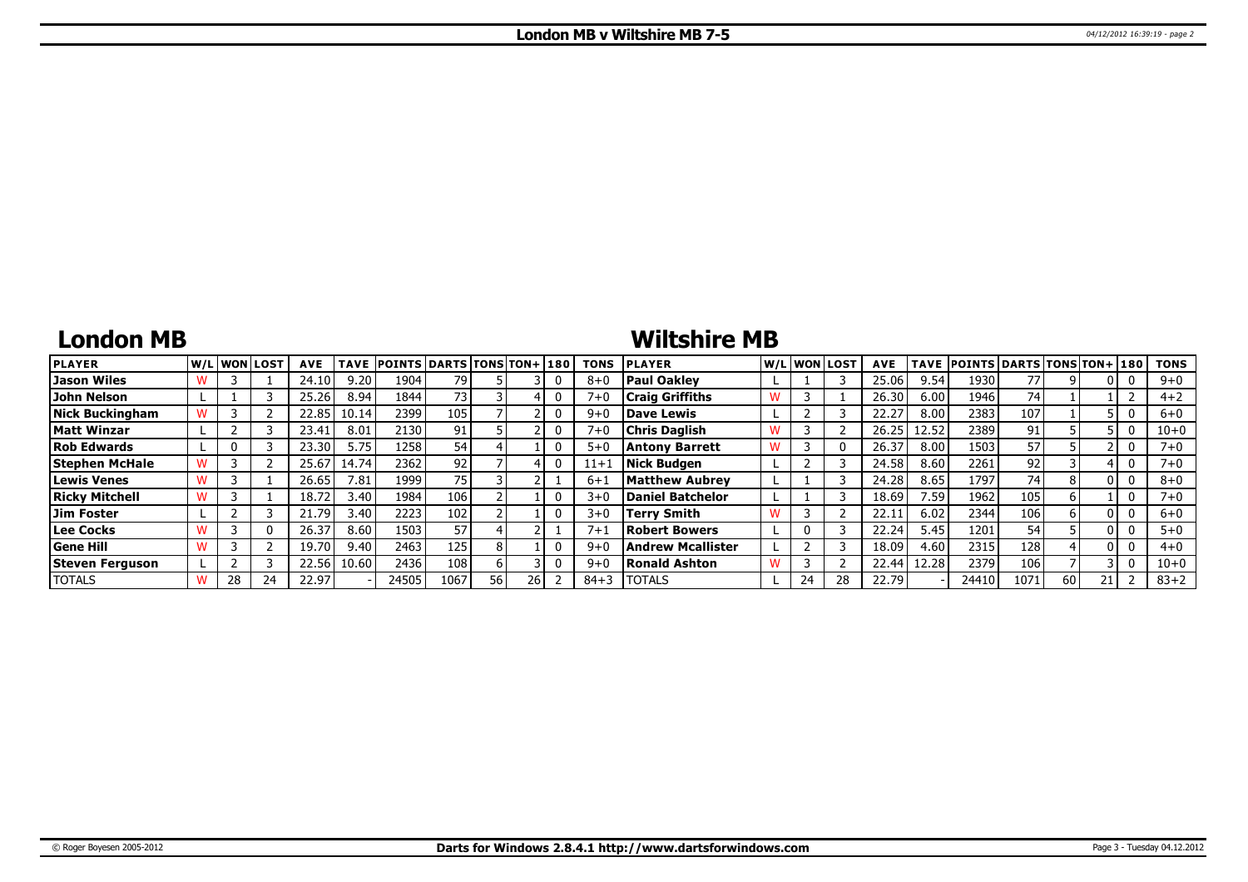# **London MB**

# **Wiltshire MB**

| <b>PLAYER</b>         | lw/Llwonllost |          | <b>AVE</b> | <b>TAVE</b> | <b>POINTS DARTS TONS TON+1180</b> |      |    |  | TONS     | <b>PLAYER</b>            |   |    | W/Liwonilost! | <b>AVE</b> |       | TAVE POINTS DARTS TONS TON+ 180 |                 |    |  | <b>TONS</b> |
|-----------------------|---------------|----------|------------|-------------|-----------------------------------|------|----|--|----------|--------------------------|---|----|---------------|------------|-------|---------------------------------|-----------------|----|--|-------------|
| Jason Wiles           |               |          | 24.10      | 9.20        | 1904                              | 79   |    |  | $8 + C$  | <b>Paul Oakley</b>       |   |    |               | 25.06      | 9.54  | 1930                            | 77              |    |  | $9 + 0$     |
| John Nelson           |               |          | 25.26      | 8.94        | 1844                              | 73 I |    |  | 7+0      | <b>Craig Griffiths</b>   |   |    |               | 26.30      | 6.00  | 1946                            | 74              |    |  | $4 + 2$     |
| Nick Buckingham       |               |          | 22.85      | 10.14       | 2399                              | 105  |    |  | 9+0      | <b>Dave Lewis</b>        |   |    |               | 22.27      | 8.00  | 2383                            | 107             |    |  | $6+0$       |
| <b>Matt Winzar</b>    |               |          | 23.41      | 8.01        | 2130 l                            | 91   |    |  | $7 + 0$  | <b>Chris Daglish</b>     |   |    |               | 26.25      | 12.52 | 2389                            | 91              |    |  | $10 + 0$    |
| <b>Rob Edwards</b>    |               |          | 23.30      | 5.75'       | 1258                              | 54   |    |  | $5 + C$  | <b>Antony Barrett</b>    |   |    |               | 26.37      | 8.00  | 1503                            | 57              |    |  | 7+0         |
| <b>Stephen McHale</b> |               |          | 25.67      | 14.74       | 2362                              | 92   |    |  | $11 + ?$ | Nick Budgen              |   |    |               | 24.58      | 8.60  | 2261                            | 92 <sub>1</sub> |    |  | 7+0         |
| <b>Lewis Venes</b>    |               |          | 26.65      | 7.81        | 1999                              | 75   |    |  | $6 + 1$  | <b>Matthew Aubrey</b>    |   |    |               | 24.28      | 8.65  | 1797                            | 74              |    |  | $8 + 0$     |
| <b>Ricky Mitchell</b> |               |          | 18.72      | 3.40        | 1984                              | 106  |    |  | $3+$     | <b>Daniel Batchelor</b>  |   |    |               | 18.69      | 7.59  | 1962                            | 105             |    |  | 7+0         |
| Jim Foster            |               |          | 21.79      | 3.40        | 2223                              | 102  |    |  | $3 + 0$  | Terry Smith              | W |    |               | 22.1       | 6.02  | 2344                            | 106             |    |  | $6 + 0$     |
| Lee Cocks             |               | $\Omega$ | 26.37      | 8.60        | 1503                              | 57   |    |  | $7+$     | <b>Robert Bowers</b>     |   |    |               | 22.24      | 5.45  | 1201                            | 54              |    |  | $5 + 0$     |
| <b>Gene Hill</b>      |               |          | 19.70      | 9.40        | 2463                              | 125  |    |  | $9 + 0$  | <b>Andrew Mcallister</b> |   |    |               | 18.09      | 4.60  | 2315                            | 128             |    |  | $4 + 0$     |
| Steven Ferguson       |               |          | 22.56      | 10.60       | 2436                              | 108  |    |  | $9 + C$  | <b>Ronald Ashton</b>     | W |    |               | 22.44      | 12.28 | 2379                            | 106             |    |  | $10 + 0$    |
| <b>TOTALS</b>         | 28            | 24       | 22.97      |             | 24505                             | 1067 | 56 |  | $84 + 3$ | <b>TOTALS</b>            |   | 24 |               | 22.79      |       | 24410                           | 1071            | 60 |  | $83 + 2$    |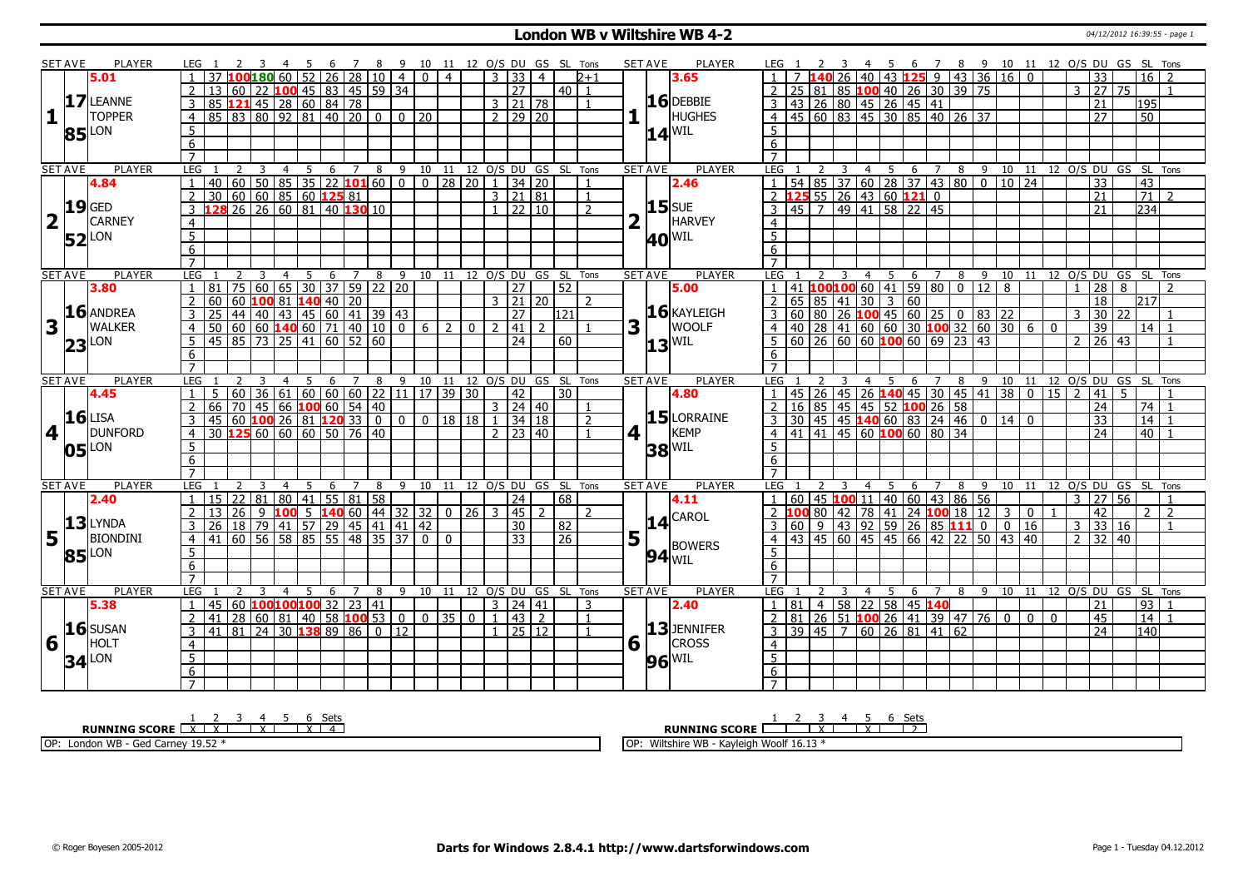#### **London WB v Wiltshire WB 4-2 Department of the US 104/12/2012 16:39:55 - page 1**

|                | <b>SET AVE</b> | <b>PLAYER</b>       | LEG 1<br>$\overline{2}$                                                           | $\overline{\mathbf{3}}$<br>$\overline{4}$                    | - 5            | -6    | 7 8 9 10 11 12 O/S DU GS SL Tons         |                |                |                |                |                                    |                    |                 |                |             | <b>SET AVE</b><br>PLAYER        | LEG 1                                                                                                                  |        |                                                                           |                                      |   |                |   |                |                |               |                     |       | 4 5 6 7 8 9 10 11 12 O/S DU GS SL Tons |
|----------------|----------------|---------------------|-----------------------------------------------------------------------------------|--------------------------------------------------------------|----------------|-------|------------------------------------------|----------------|----------------|----------------|----------------|------------------------------------|--------------------|-----------------|----------------|-------------|---------------------------------|------------------------------------------------------------------------------------------------------------------------|--------|---------------------------------------------------------------------------|--------------------------------------|---|----------------|---|----------------|----------------|---------------|---------------------|-------|----------------------------------------|
|                |                | 5.01                |                                                                                   | 10018060052                                                  |                |       | $26 \mid 28 \mid 10 \mid 4$              |                | 0 <sup>1</sup> | $\overline{4}$ |                | 33<br>-3 I                         | $\overline{4}$     |                 | $2 + 1$        |             | 3.65                            |                                                                                                                        |        | 26                                                                        | 40   43   125   9   43   36   16   0 |   |                |   |                |                |               | 33                  |       | $16$ $\overline{\smash{)}\,2}$         |
|                |                |                     | $\overline{2}$<br>13                                                              | 60   22   <mark>100</mark> 45   83   45   59   34            |                |       |                                          |                |                |                |                | 27                                 |                    | $40$   1        |                |             |                                 | 2                                                                                                                      |        | 25 81 85 100 40 26 30 39 75                                               |                                      |   |                |   |                |                |               | 3 27                | 75    | $\overline{1}$                         |
|                |                | 17 LEANNE           | 85 121 45 28 60 84 78<br>3                                                        |                                                              |                |       |                                          |                |                |                |                | $3 \mid 21 \mid 78$                |                    |                 | $\overline{1}$ |             | $16$ DEBBIE                     |                                                                                                                        |        |                                                                           |                                      |   |                |   |                |                |               | 21                  |       | 195                                    |
| 1              |                | <b>TOPPER</b>       | 85 83 80 92 81 40 20<br>$\overline{4}$                                            |                                                              |                |       | $\overline{0}$                           |                | $0 \mid 20$    |                |                | $2 \mid 29 \mid 20$                |                    |                 |                |             | <b>HUGHES</b>                   | 3 43 26 80 45 26 45 41<br>4 45 60 83 45 30 85 40 26 37                                                                 |        |                                                                           |                                      |   |                |   |                |                |               | 27                  |       | $\overline{50}$                        |
|                |                |                     | $5^{\circ}$                                                                       |                                                              |                |       |                                          |                |                |                |                |                                    |                    |                 |                |             |                                 | $\overline{5}$                                                                                                         |        |                                                                           |                                      |   |                |   |                |                |               |                     |       |                                        |
|                |                | 85 LON              | 6                                                                                 |                                                              |                |       |                                          |                |                |                |                |                                    |                    |                 |                |             | $14^{ WIL }$                    | 6                                                                                                                      |        |                                                                           |                                      |   |                |   |                |                |               |                     |       |                                        |
|                |                |                     | $\overline{7}$                                                                    |                                                              |                |       |                                          |                |                |                |                |                                    |                    |                 |                |             |                                 | $\overline{7}$                                                                                                         |        |                                                                           |                                      |   |                |   |                |                |               |                     |       |                                        |
|                | <b>SET AVE</b> | <b>PLAYER</b>       | LEG 1<br>2                                                                        | $\overline{4}$<br>$\overline{\mathbf{3}}$                    | $\overline{5}$ |       | 6 7 8 9 10 11 12 O/S DU GS SL Tons       |                |                |                |                |                                    |                    |                 |                |             | <b>PLAYER</b><br><b>SET AVE</b> | LEG <sub>1</sub>                                                                                                       | 2 3    |                                                                           |                                      |   |                |   |                |                |               |                     |       | 4 5 6 7 8 9 10 11 12 O/S DU GS SL Tons |
|                |                | 4.84                | $140$ 60 50 85 35 22 <b>101</b> 60 0 0 28 20 1 34 20<br>$\mathbf{1}$              |                                                              |                |       |                                          |                |                |                |                |                                    |                    |                 | $\overline{1}$ |             | 2.46                            | $\overline{1}$                                                                                                         |        | 54 85 37 60 28 37 43 80 0 10 24                                           |                                      |   |                |   |                |                |               | $\overline{33}$     |       | $\overline{43}$                        |
|                |                |                     | 30   60   60   85   60   125   81<br>2                                            |                                                              |                |       |                                          |                |                |                |                | $3 \mid 21 \mid 81$                |                    |                 | $\overline{1}$ |             |                                 | 2 <b>125</b> 55 26 43 60 <b>121</b> 0                                                                                  |        |                                                                           |                                      |   |                |   |                |                |               | $\overline{21}$     |       | $\overline{71}$<br>$\overline{2}$      |
|                |                | $19$ GED            | <b>128</b> 26 26 60 81 40 <b>130</b> 10                                           |                                                              |                |       |                                          |                |                |                |                | $1 \overline{22} \overline{10}$    |                    |                 | $\mathcal{L}$  |             | <b>15</b> SUE                   |                                                                                                                        |        | 45 7 49 41 58 22 45                                                       |                                      |   |                |   |                |                |               | $\overline{21}$     |       | 234                                    |
|                |                | <b>CARNEY</b>       |                                                                                   |                                                              |                |       |                                          |                |                |                |                |                                    |                    |                 |                |             | HARVEY                          | $\overline{4}$                                                                                                         |        |                                                                           |                                      |   |                |   |                |                |               |                     |       |                                        |
|                |                |                     | $\overline{4}$                                                                    |                                                              |                |       |                                          |                |                |                |                |                                    |                    |                 |                |             |                                 | $\overline{5}$                                                                                                         |        |                                                                           |                                      |   |                |   |                |                |               |                     |       |                                        |
|                |                | $52$ <sup>LON</sup> | 5                                                                                 |                                                              |                |       |                                          |                |                |                |                |                                    |                    |                 |                |             | <b>40 WIL</b>                   |                                                                                                                        |        |                                                                           |                                      |   |                |   |                |                |               |                     |       |                                        |
|                |                |                     | 6                                                                                 |                                                              |                |       |                                          |                |                |                |                |                                    |                    |                 |                |             |                                 | 6                                                                                                                      |        |                                                                           |                                      |   |                |   |                |                |               |                     |       |                                        |
|                | <b>SET AVE</b> | <b>PLAYER</b>       |                                                                                   | $\overline{4}$<br>3                                          |                |       |                                          |                |                |                |                |                                    |                    |                 |                |             | <b>PLAYER</b>                   | LEG                                                                                                                    |        |                                                                           |                                      |   |                |   |                |                |               |                     |       | 6 7 8 9 10 11 12 0/S DU GS SL Tons     |
|                |                | 3.80                | LEG<br>81                                                                         | 75 60 65 30 37 59 22 20                                      |                | 5 6 7 | 8                                        | 9              | 10             | 11             |                | 12 O/S DU GS SL<br>$\overline{27}$ |                    | 52              | Tons           |             | <b>SET AVE</b><br>5.00          | 41                                                                                                                     | 100100 |                                                                           | 4 5<br>60  41   59   80   0   12   8 |   |                |   |                |                |               | $\overline{28}$     | 8     |                                        |
|                |                |                     | 60 60 100 81 140<br>2                                                             |                                                              |                |       |                                          |                |                |                |                | $3 \mid 21 \mid 20$                |                    |                 | $\overline{z}$ |             |                                 |                                                                                                                        |        |                                                                           |                                      |   |                |   |                |                |               | 18                  |       | l217l                                  |
|                |                | 16 ANDREA           | 3<br>25                                                                           |                                                              |                |       |                                          |                |                |                |                | $\overline{27}$                    |                    | 121             |                |             | 16 KAYLEIGH                     | 2 65 85 41 30 3 60 <sup>2</sup><br>3 60 80 26 <b>100</b> 45 60 25 0 83 22<br>4 40 28 41 60 60 30 <b>100</b> 32 60 30 6 |        |                                                                           |                                      |   |                |   |                |                | $\mathcal{E}$ | 30 <sup>1</sup>     | 22    |                                        |
| 3              |                | <b>WALKER</b>       | 50 60 60 140 60 71 40 10                                                          |                                                              |                |       |                                          | $\boxed{0}$    | $6\sqrt{2}$    |                | $\overline{0}$ | 2  41                              | $\mathcal{L}$      |                 |                | 3           | <b>WOOLF</b><br>п.              |                                                                                                                        |        |                                                                           |                                      |   |                |   |                | $\Omega$       |               | $\overline{39}$     |       | $14$   1                               |
|                |                |                     | $\overline{4}$<br>45 85 73 25 41 60 52 60                                         |                                                              |                |       |                                          |                |                |                |                |                                    |                    |                 |                |             |                                 | $5 60 26 60 60$ 100 60 69 23 43                                                                                        |        |                                                                           |                                      |   |                |   |                |                |               | $2 \mid 26 \mid 43$ |       | $\mathbf{1}$                           |
|                |                | $23$ LON            | .5.                                                                               |                                                              |                |       |                                          |                |                |                |                | 24                                 |                    | 60              |                |             | $13$ <sup>WIL</sup>             |                                                                                                                        |        |                                                                           |                                      |   |                |   |                |                |               |                     |       |                                        |
|                |                |                     | 6<br>$\overline{7}$                                                               |                                                              |                |       |                                          |                |                |                |                |                                    |                    |                 |                |             |                                 | 6<br>$\overline{7}$                                                                                                    |        |                                                                           |                                      |   |                |   |                |                |               |                     |       |                                        |
|                | <b>SET AVE</b> | <b>PLAYER</b>       | LEG <sub>1</sub>                                                                  | $\mathbf{R}$<br>$\overline{4}$                               | 5              |       | 6 7 8 9 10 11 12 O/S DU GS SL Tons       |                |                |                |                |                                    |                    |                 |                |             | <b>PLAYER</b><br><b>SET AVE</b> | LEG 1                                                                                                                  |        |                                                                           |                                      |   |                |   |                |                |               |                     |       | 4 5 6 7 8 9 10 11 12 O/S DU GS SL Tons |
|                |                | 4.45                | 5.<br>$\overline{1}$                                                              | $\vert$ 60   36   61   60   60   60   22   11   17   39   30 |                |       |                                          |                |                |                |                | 42                                 |                    | 30 <sup>1</sup> |                |             | 4.80                            | $\overline{1}$                                                                                                         |        | 45   26   45   26   <b>140</b>   45   30   45   41   38   0   15   2   41 |                                      |   |                |   |                |                |               |                     | 5.    |                                        |
|                |                |                     | $\overline{z}$<br>66                                                              | 70 45 66 100 60 54 40                                        |                |       |                                          |                |                |                |                | $3 \ 24 \ 40$                      |                    |                 |                |             |                                 | $\sqrt{2}$<br>16                                                                                                       |        | 85 45 45 52 100 26 58                                                     |                                      |   |                |   |                |                |               | $\overline{24}$     |       | 74 I                                   |
|                |                | $16$ LISA           | 45 60 100 26 81 120 33 0 0 0 18 18 1 34 18                                        |                                                              |                |       |                                          |                |                |                |                |                                    |                    |                 | $\overline{2}$ |             | $15$ LORRAINE                   | $3 \mid 30 \mid 45 \mid 45$ 140 60 83 24 46 0 14 0                                                                     |        |                                                                           |                                      |   |                |   |                |                |               | 33                  |       | 14                                     |
| 4              |                | <b>DUNFORD</b>      | 30 125 60 60 60 50 76 40<br>$\overline{4}$                                        |                                                              |                |       |                                          |                |                |                |                | $2 \times 123 \times 40$           |                    |                 |                | 4 1         | <b>KEMP</b>                     | $4 \mid 41 \mid 41 \mid 45 \mid 60$ <b>100</b> 60 80 34                                                                |        |                                                                           |                                      |   |                |   |                |                |               | $\overline{24}$     |       | 40 <sup>1</sup>                        |
|                |                |                     | 5                                                                                 |                                                              |                |       |                                          |                |                |                |                |                                    |                    |                 |                |             |                                 | 5                                                                                                                      |        |                                                                           |                                      |   |                |   |                |                |               |                     |       |                                        |
|                |                | $05$ <sup>LON</sup> | 6                                                                                 |                                                              |                |       |                                          |                |                |                |                |                                    |                    |                 |                |             |                                 |                                                                                                                        |        |                                                                           |                                      |   |                |   |                |                |               |                     |       |                                        |
|                |                |                     |                                                                                   |                                                              |                |       |                                          |                |                |                |                |                                    |                    |                 |                |             | $38$ <sup>WIL</sup>             |                                                                                                                        |        |                                                                           |                                      |   |                |   |                |                |               |                     |       |                                        |
|                |                |                     |                                                                                   |                                                              |                |       |                                          |                |                |                |                |                                    |                    |                 |                |             |                                 | 6                                                                                                                      |        |                                                                           |                                      |   |                |   |                |                |               |                     |       |                                        |
|                |                |                     |                                                                                   |                                                              |                |       |                                          |                |                |                |                |                                    |                    |                 |                |             |                                 | $\overline{7}$                                                                                                         |        |                                                                           |                                      |   |                |   |                |                |               |                     |       |                                        |
|                | <b>SET AVE</b> | <b>PLAYER</b>       | LEG                                                                               | 4                                                            |                | 6     | 8                                        | $\mathsf{q}$   | 10             | 11             |                | 12 O/S DU GS SL                    |                    |                 | Tons           |             | <b>SET AVE</b><br><b>PLAYER</b> | <b>LEG</b>                                                                                                             |        | 4                                                                         |                                      | 6 |                | 8 |                |                |               |                     |       | 9 10 11 12 O/S DU GS SL Tons           |
|                |                | 2.40                | 15   22   81   80   41   55   81   58                                             |                                                              |                |       |                                          |                |                |                |                | 24                                 |                    | 68              |                |             | 4.11                            |                                                                                                                        |        | 60   45   100 11   40   60   43   86   56                                 |                                      |   |                |   |                |                | 3             | 27 56               |       | $\mathbf{1}$                           |
|                |                |                     | 26 <br>13                                                                         | $\begin{array}{c} \boxed{9} \end{array}$                     |                |       | <b>100</b> 5 <b>140</b> 60 44 32 32 0 26 |                |                |                |                | 3   45                             |                    |                 | $\mathcal{L}$  |             | <b>CAROL</b>                    |                                                                                                                        |        | 80   42   78   41   24   100   18   12   3                                |                                      |   |                |   | $\mathbf{0}$   |                |               | $\overline{42}$     |       | $\overline{2}$<br>$\overline{z}$       |
|                |                | $13$ LYNDA          | $\overline{3}$                                                                    |                                                              |                |       |                                          | 41 42          |                |                |                | 30                                 |                    | 82              |                |             | 14                              |                                                                                                                        |        |                                                                           |                                      |   |                |   |                |                | $\mathbf{3}$  |                     | 33 16 |                                        |
| 5 <sub>1</sub> |                | <b>BIONDINI</b>     | <u>26 18 79 41 57 29 45 41 41</u><br>41 60 56 58 85 55 48 35 37<br>$\overline{4}$ |                                                              |                |       |                                          |                | $\Omega$       | $\Omega$       |                | $\overline{33}$                    |                    | 26              |                | 5           |                                 | 3 60 9 43 92 59 26 85 111 0 0 16<br>4 43 45 60 45 45 66 42 22 50 43 40                                                 |        |                                                                           |                                      |   |                |   |                |                |               | 2 32 40             |       |                                        |
|                |                |                     | 5 <sup>5</sup>                                                                    |                                                              |                |       |                                          |                |                |                |                |                                    |                    |                 |                |             | <b>BOWERS</b>                   | 5                                                                                                                      |        |                                                                           |                                      |   |                |   |                |                |               |                     |       |                                        |
|                |                | 85 LON              | 6                                                                                 |                                                              |                |       |                                          |                |                |                |                |                                    |                    |                 |                |             | $94$ <sub>WIL</sub>             | 6                                                                                                                      |        |                                                                           |                                      |   |                |   |                |                |               |                     |       |                                        |
|                |                |                     | $\overline{7}$                                                                    |                                                              |                |       |                                          |                |                |                |                |                                    |                    |                 |                |             |                                 | $\overline{7}$                                                                                                         |        |                                                                           |                                      |   |                |   |                |                |               |                     |       |                                        |
|                | <b>SET AVE</b> | PLAYER              | LEG                                                                               | ्र<br>4                                                      | -5             | -6    | 7<br>8                                   | $\mathsf{q}$   | 10 11          |                |                | 12 O/S DU GS SL Tons               |                    |                 |                |             | PLAYER<br><b>SET AVE</b>        | LEG                                                                                                                    |        | 4                                                                         | - 5                                  | 6 | $\overline{7}$ |   |                |                |               |                     |       | 8 9 10 11 12 O/S DU GS SL Tons         |
|                |                | 5.38                | 45   60   100 100 100   32   23   41<br>$\overline{1}$                            |                                                              |                |       |                                          |                |                |                |                | $3 \mid 24 \mid 41$                |                    |                 | -3             |             | 2.40                            | $\vert$ 1                                                                                                              |        | 81   4   58   22   58   45 <b>140</b>                                     |                                      |   |                |   |                |                |               | 21                  |       | 93<br>$\overline{\mathbf{1}}$          |
|                |                |                     | 41 28 60 81 40 58 100 53<br>2                                                     |                                                              |                |       |                                          | $\overline{0}$ |                | $0$ 35 0 1     |                |                                    | $\vert 43 \vert 2$ |                 | $\overline{1}$ |             |                                 | 2                                                                                                                      |        | 81   26   51   100   26   41   39   47   76   0                           |                                      |   |                |   | $\overline{0}$ | $\overline{0}$ |               | 45                  |       | $\overline{14}$                        |
|                |                | $16$ SUSAN          | 41 81 24 30 138<br>$\overline{3}$                                                 |                                                              |                | 89 86 | $\overline{\circ}$                       | 12             |                |                |                | $1 \ 25 \ 12$                      |                    |                 |                |             | 13JENNIFER                      | $3 \overline{)39 \overline{)45}$ 7 60 26 81 41 62                                                                      |        |                                                                           |                                      |   |                |   |                |                |               | $\overline{24}$     |       | 140                                    |
| <b>6</b>       |                | HOLT                | $\overline{4}$                                                                    |                                                              |                |       |                                          |                |                |                |                |                                    |                    |                 |                | $6\sqrt{ }$ | <b>CROSS</b>                    | $\overline{4}$                                                                                                         |        |                                                                           |                                      |   |                |   |                |                |               |                     |       |                                        |
|                |                |                     | 5                                                                                 |                                                              |                |       |                                          |                |                |                |                |                                    |                    |                 |                |             |                                 | $\overline{5}$                                                                                                         |        |                                                                           |                                      |   |                |   |                |                |               |                     |       |                                        |
|                |                | $34$ <sup>LON</sup> | 6                                                                                 |                                                              |                |       |                                          |                |                |                |                |                                    |                    |                 |                |             | $96$ <sup>WIL</sup>             | 6                                                                                                                      |        |                                                                           |                                      |   |                |   |                |                |               |                     |       |                                        |

**RUNNING SCORE** 1 X 2 X 3 4 X 5 6 X Sets 4 OP: London WB - Ged Carney 19.52 \* **RUNNING SCORE**  $\begin{array}{|c|c|c|c|c|}\n\hline\n & 2 & 3 & 4 & 5 & 6 & \text{Sets}} \\
\hline\n\end{array}$ OP: Wiltshire WB - Kayleigh Woolf 16.13 \*